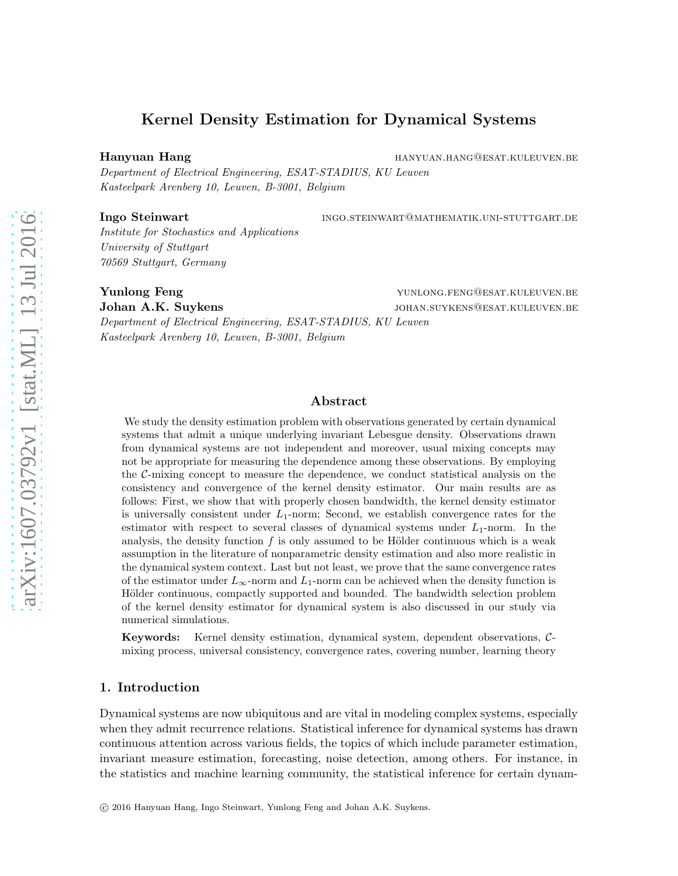# Kernel Density Estimation for Dynamical Systems

Hanyuan Hang hang hang hanyuan.hang@esat.kuleuven.be

Department of Electrical Engineering, ESAT-STADIUS, KU Leuven Kasteelpark Arenberg 10, Leuven, B-3001, Belgium

Ingo Steinwart **inglese in the set of the set of the set of the set of the set of the set of the set of the set of the set of the set of the set of the set of the set of the set of the set of the set of the set of the set** 

Institute for Stochastics and Applications University of Stuttgart 70569 Stuttgart, Germany

Yunlong Feng 30 and 50 and 50 years of the control of the control of the control of the control of the control of the control of the control of the control of the control of the control of the control of the control of the

Johan A.K. Suykens johan.suykens@esat.kuleuven.be Department of Electrical Engineering, ESAT-STADIUS, KU Leuven Kasteelpark Arenberg 10, Leuven, B-3001, Belgium

## Abstract

We study the density estimation problem with observations generated by certain dynamical systems that admit a unique underlying invariant Lebesgue density. Observations drawn from dynamical systems are not independent and moreover, usual mixing concepts may not be appropriate for measuring the dependence among these observations. By employing the C-mixing concept to measure the dependence, we conduct statistical analysis on the consistency and convergence of the kernel density estimator. Our main results are as follows: First, we show that with properly chosen bandwidth, the kernel density estimator is universally consistent under  $L_1$ -norm; Second, we establish convergence rates for the estimator with respect to several classes of dynamical systems under  $L_1$ -norm. In the analysis, the density function  $f$  is only assumed to be Hölder continuous which is a weak assumption in the literature of nonparametric density estimation and also more realistic in the dynamical system context. Last but not least, we prove that the same convergence rates of the estimator under  $L_{\infty}$ -norm and  $L_1$ -norm can be achieved when the density function is Hölder continuous, compactly supported and bounded. The bandwidth selection problem of the kernel density estimator for dynamical system is also discussed in our study via numerical simulations.

Keywords: Kernel density estimation, dynamical system, dependent observations, Cmixing process, universal consistency, convergence rates, covering number, learning theory

## 1. Introduction

Dynamical systems are now ubiquitous and are vital in modeling complex systems, especially when they admit recurrence relations. Statistical inference for dynamical systems has drawn continuous attention across various fields, the topics of which include parameter estimation, invariant measure estimation, forecasting, noise detection, among others. For instance, in the statistics and machine learning community, the statistical inference for certain dynam-

c 2016 Hanyuan Hang, Ingo Steinwart, Yunlong Feng and Johan A.K. Suykens.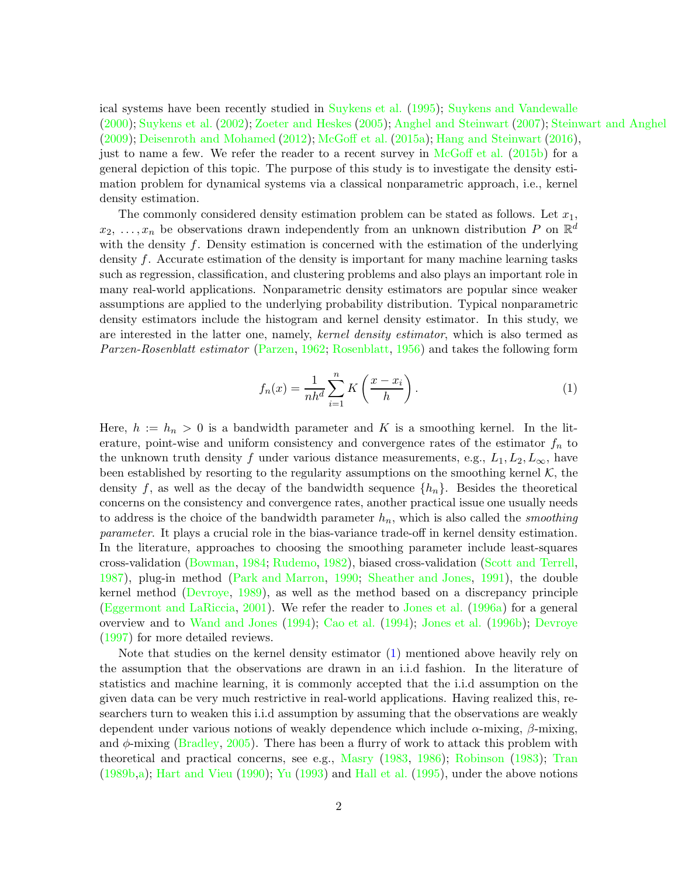ical systems have been recently studied in [Suykens et al.](#page-36-0) [\(1995](#page-36-0)); [Suykens and Vandewalle](#page-36-1) [\(2000](#page-36-1)); [Suykens et al.](#page-36-2) [\(2002](#page-36-2)); [Zoeter and Heskes](#page-36-3) [\(2005](#page-36-3)); [Anghel and Steinwart](#page-33-0) [\(2007](#page-33-0)); [Steinwart and Anghel](#page-35-0) [\(2009](#page-35-0)); [Deisenroth and Mohamed](#page-34-0) [\(2012](#page-34-0)); [McGoff et al.](#page-35-1) [\(2015a](#page-35-1)); [Hang and Steinwart](#page-34-1) [\(2016\)](#page-34-1), just to name a few. We refer the reader to a recent survey in [McGoff et al.](#page-35-2) [\(2015b](#page-35-2)) for a general depiction of this topic. The purpose of this study is to investigate the density estimation problem for dynamical systems via a classical nonparametric approach, i.e., kernel density estimation.

The commonly considered density estimation problem can be stated as follows. Let  $x_1$ ,  $x_2, \ldots, x_n$  be observations drawn independently from an unknown distribution P on  $\mathbb{R}^d$ with the density  $f$ . Density estimation is concerned with the estimation of the underlying density f. Accurate estimation of the density is important for many machine learning tasks such as regression, classification, and clustering problems and also plays an important role in many real-world applications. Nonparametric density estimators are popular since weaker assumptions are applied to the underlying probability distribution. Typical nonparametric density estimators include the histogram and kernel density estimator. In this study, we are interested in the latter one, namely, kernel density estimator, which is also termed as Parzen-Rosenblatt estimator [\(Parzen,](#page-35-3) [1962](#page-35-3); [Rosenblatt,](#page-35-4) [1956\)](#page-35-4) and takes the following form

<span id="page-1-0"></span>
$$
f_n(x) = \frac{1}{nh^d} \sum_{i=1}^n K\left(\frac{x - x_i}{h}\right).
$$
 (1)

Here,  $h := h_n > 0$  is a bandwidth parameter and K is a smoothing kernel. In the literature, point-wise and uniform consistency and convergence rates of the estimator  $f_n$  to the unknown truth density f under various distance measurements, e.g.,  $L_1, L_2, L_\infty$ , have been established by resorting to the regularity assumptions on the smoothing kernel  $K$ , the density f, as well as the decay of the bandwidth sequence  $\{h_n\}$ . Besides the theoretical concerns on the consistency and convergence rates, another practical issue one usually needs to address is the choice of the bandwidth parameter  $h_n$ , which is also called the *smoothing* parameter. It plays a crucial role in the bias-variance trade-off in kernel density estimation. In the literature, approaches to choosing the smoothing parameter include least-squares cross-validation [\(Bowman](#page-33-1), [1984](#page-33-1); [Rudemo,](#page-35-5) [1982\)](#page-35-5), biased cross-validation [\(Scott and Terrell](#page-35-6), [1987\)](#page-35-6), plug-in method [\(Park and Marron](#page-35-7), [1990;](#page-35-7) [Sheather and Jones,](#page-35-8) [1991](#page-35-8)), the double kernel method [\(Devroye](#page-34-2), [1989\)](#page-34-2), as well as the method based on a discrepancy principle [\(Eggermont and LaRiccia](#page-34-3), [2001](#page-34-3)). We refer the reader to [Jones et al.](#page-34-4) [\(1996a](#page-34-4)) for a general overview and to [Wand and Jones](#page-36-4) [\(1994\)](#page-36-4); [Cao et al.](#page-33-2) [\(1994](#page-33-2)); [Jones et al.](#page-35-9) [\(1996b](#page-35-9)); [Devroye](#page-34-5) [\(1997](#page-34-5)) for more detailed reviews.

Note that studies on the kernel density estimator [\(1\)](#page-1-0) mentioned above heavily rely on the assumption that the observations are drawn in an i.i.d fashion. In the literature of statistics and machine learning, it is commonly accepted that the i.i.d assumption on the given data can be very much restrictive in real-world applications. Having realized this, researchers turn to weaken this i.i.d assumption by assuming that the observations are weakly dependent under various notions of weakly dependence which include  $\alpha$ -mixing,  $\beta$ -mixing, and  $\phi$ -mixing [\(Bradley](#page-33-3), [2005](#page-33-3)). There has been a flurry of work to attack this problem with theoretical and practical concerns, see e.g., [Masry](#page-35-10) [\(1983,](#page-35-10) [1986\)](#page-35-11); [Robinson](#page-35-12) [\(1983\)](#page-35-12); [Tran](#page-36-5) [\(1989b](#page-36-5)[,a\)](#page-36-6); [Hart and Vieu](#page-34-6) [\(1990](#page-34-6)); [Yu](#page-36-7) [\(1993](#page-36-7)) and [Hall et al.](#page-34-7) [\(1995](#page-34-7)), under the above notions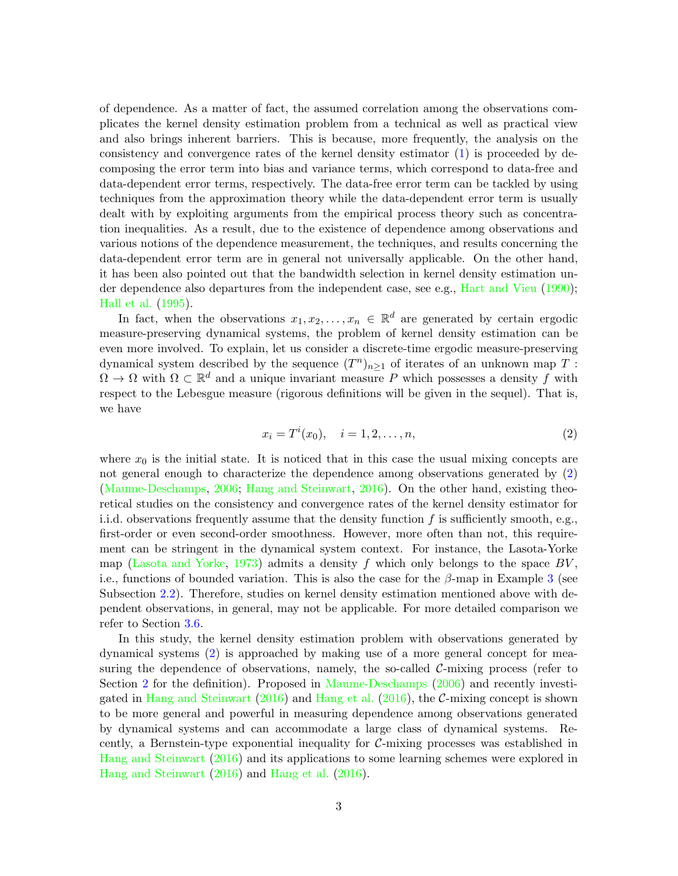of dependence. As a matter of fact, the assumed correlation among the observations complicates the kernel density estimation problem from a technical as well as practical view and also brings inherent barriers. This is because, more frequently, the analysis on the consistency and convergence rates of the kernel density estimator [\(1\)](#page-1-0) is proceeded by decomposing the error term into bias and variance terms, which correspond to data-free and data-dependent error terms, respectively. The data-free error term can be tackled by using techniques from the approximation theory while the data-dependent error term is usually dealt with by exploiting arguments from the empirical process theory such as concentration inequalities. As a result, due to the existence of dependence among observations and various notions of the dependence measurement, the techniques, and results concerning the data-dependent error term are in general not universally applicable. On the other hand, it has been also pointed out that the bandwidth selection in kernel density estimation under dependence also departures from the independent case, see e.g., [Hart and Vieu](#page-34-6) [\(1990](#page-34-6)); [Hall et al.](#page-34-7) [\(1995](#page-34-7)).

In fact, when the observations  $x_1, x_2, \ldots, x_n \in \mathbb{R}^d$  are generated by certain ergodic measure-preserving dynamical systems, the problem of kernel density estimation can be even more involved. To explain, let us consider a discrete-time ergodic measure-preserving dynamical system described by the sequence  $(T^n)_{n\geq 1}$  of iterates of an unknown map T :  $\Omega \to \Omega$  with  $\Omega \subset \mathbb{R}^d$  and a unique invariant measure P which possesses a density f with respect to the Lebesgue measure (rigorous definitions will be given in the sequel). That is, we have

<span id="page-2-0"></span>
$$
x_i = T^i(x_0), \quad i = 1, 2, \dots, n,
$$
\n(2)

where  $x_0$  is the initial state. It is noticed that in this case the usual mixing concepts are not general enough to characterize the dependence among observations generated by [\(2\)](#page-2-0) [\(Maume-Deschamps](#page-35-13), [2006](#page-35-13); [Hang and Steinwart,](#page-34-1) [2016](#page-34-1)). On the other hand, existing theoretical studies on the consistency and convergence rates of the kernel density estimator for i.i.d. observations frequently assume that the density function f is sufficiently smooth, e.g., first-order or even second-order smoothness. However, more often than not, this requirement can be stringent in the dynamical system context. For instance, the Lasota-Yorke map [\(Lasota and Yorke](#page-35-14), [1973](#page-35-14)) admits a density f which only belongs to the space  $BV$ , i.e., functions of bounded variation. This is also the case for the  $\beta$ -map in Example [3](#page-4-0) (see Subsection [2.2\)](#page-4-1). Therefore, studies on kernel density estimation mentioned above with dependent observations, in general, may not be applicable. For more detailed comparison we refer to Section [3.6.](#page-14-0)

In this study, the kernel density estimation problem with observations generated by dynamical systems [\(2\)](#page-2-0) is approached by making use of a more general concept for measuring the dependence of observations, namely, the so-called  $\mathcal{C}\text{-mixing process}$  (refer to Section [2](#page-3-0) for the definition). Proposed in [Maume-Deschamps](#page-35-13) [\(2006](#page-35-13)) and recently investigated in [Hang and Steinwart](#page-34-1) [\(2016](#page-34-1)) and [Hang et al.](#page-34-8) [\(2016](#page-34-8)), the C-mixing concept is shown to be more general and powerful in measuring dependence among observations generated by dynamical systems and can accommodate a large class of dynamical systems. Recently, a Bernstein-type exponential inequality for  $\mathcal{C}\text{-mixing processes}$  was established in [Hang and Steinwart](#page-34-1) [\(2016](#page-34-1)) and its applications to some learning schemes were explored in [Hang and Steinwart](#page-34-1) [\(2016](#page-34-1)) and [Hang et al.](#page-34-8) [\(2016](#page-34-8)).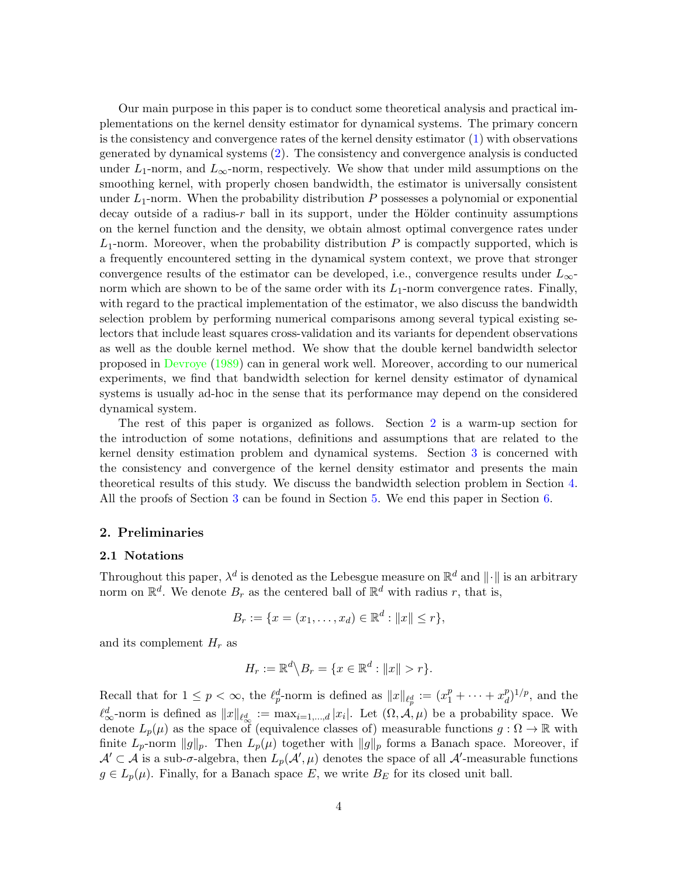Our main purpose in this paper is to conduct some theoretical analysis and practical implementations on the kernel density estimator for dynamical systems. The primary concern is the consistency and convergence rates of the kernel density estimator [\(1\)](#page-1-0) with observations generated by dynamical systems [\(2\)](#page-2-0). The consistency and convergence analysis is conducted under  $L_1$ -norm, and  $L_\infty$ -norm, respectively. We show that under mild assumptions on the smoothing kernel, with properly chosen bandwidth, the estimator is universally consistent under  $L_1$ -norm. When the probability distribution P possesses a polynomial or exponential decay outside of a radius- $r$  ball in its support, under the Hölder continuity assumptions on the kernel function and the density, we obtain almost optimal convergence rates under  $L_1$ -norm. Moreover, when the probability distribution P is compactly supported, which is a frequently encountered setting in the dynamical system context, we prove that stronger convergence results of the estimator can be developed, i.e., convergence results under  $L_{\infty}$ norm which are shown to be of the same order with its  $L_1$ -norm convergence rates. Finally, with regard to the practical implementation of the estimator, we also discuss the bandwidth selection problem by performing numerical comparisons among several typical existing selectors that include least squares cross-validation and its variants for dependent observations as well as the double kernel method. We show that the double kernel bandwidth selector proposed in [Devroye](#page-34-2) [\(1989](#page-34-2)) can in general work well. Moreover, according to our numerical experiments, we find that bandwidth selection for kernel density estimator of dynamical systems is usually ad-hoc in the sense that its performance may depend on the considered dynamical system.

The rest of this paper is organized as follows. Section [2](#page-3-0) is a warm-up section for the introduction of some notations, definitions and assumptions that are related to the kernel density estimation problem and dynamical systems. Section [3](#page-8-0) is concerned with the consistency and convergence of the kernel density estimator and presents the main theoretical results of this study. We discuss the bandwidth selection problem in Section [4.](#page-15-0) All the proofs of Section [3](#page-8-0) can be found in Section [5.](#page-21-0) We end this paper in Section [6.](#page-32-0)

## <span id="page-3-0"></span>2. Preliminaries

#### 2.1 Notations

Throughout this paper,  $\lambda^d$  is denoted as the Lebesgue measure on  $\mathbb{R}^d$  and  $\|\cdot\|$  is an arbitrary norm on  $\mathbb{R}^d$ . We denote  $B_r$  as the centered ball of  $\mathbb{R}^d$  with radius r, that is,

$$
B_r := \{ x = (x_1, \dots, x_d) \in \mathbb{R}^d : ||x|| \le r \},\
$$

and its complement  $H_r$  as

$$
H_r := \mathbb{R}^d \backslash B_r = \{ x \in \mathbb{R}^d : ||x|| > r \}.
$$

Recall that for  $1 \leq p < \infty$ , the  $\ell_p^d$ -norm is defined as  $||x||_{\ell_p^d} := (x_1^p + \cdots + x_d^p)$  $\binom{p}{d}^{1/p}$ , and the  $\ell_{\infty}^d$ -norm is defined as  $||x||_{\ell_{\infty}^d} := \max_{i=1,\dots,d} |x_i|$ . Let  $(\Omega, \mathcal{A}, \mu)$  be a probability space. We denote  $L_p(\mu)$  as the space of (equivalence classes of) measurable functions  $g : \Omega \to \mathbb{R}$  with finite  $L_p$ -norm  $||g||_p$ . Then  $L_p(\mu)$  together with  $||g||_p$  forms a Banach space. Moreover, if  $\mathcal{A}' \subset \mathcal{A}$  is a sub- $\sigma$ -algebra, then  $L_p(\mathcal{A}', \mu)$  denotes the space of all  $\mathcal{A}'$ -measurable functions  $g \in L_p(\mu)$ . Finally, for a Banach space E, we write  $B_E$  for its closed unit ball.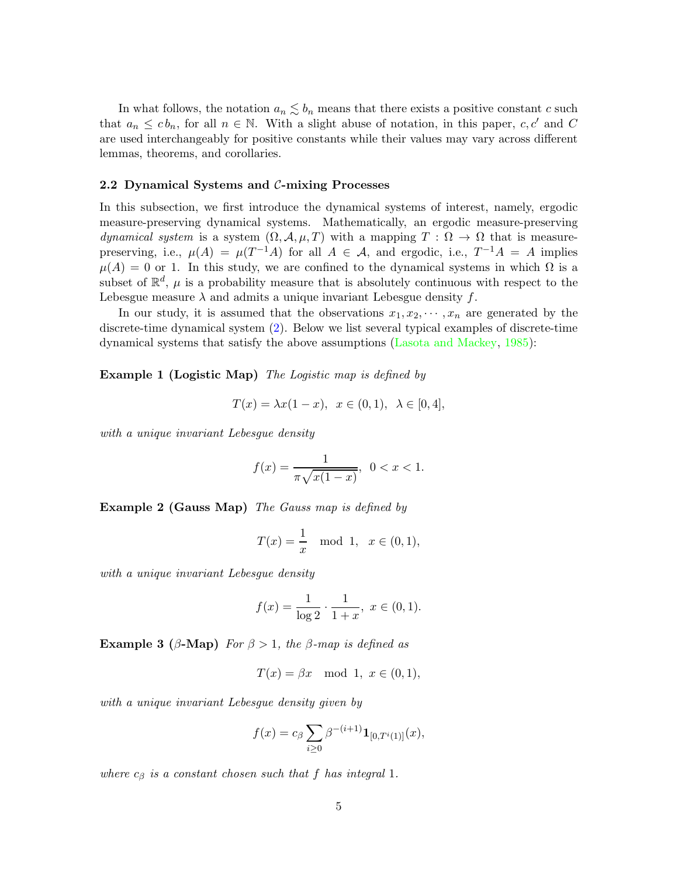In what follows, the notation  $a_n \lesssim b_n$  means that there exists a positive constant c such that  $a_n \leq cb_n$ , for all  $n \in \mathbb{N}$ . With a slight abuse of notation, in this paper, c, c' and C are used interchangeably for positive constants while their values may vary across different lemmas, theorems, and corollaries.

#### <span id="page-4-1"></span>2.2 Dynamical Systems and C-mixing Processes

In this subsection, we first introduce the dynamical systems of interest, namely, ergodic measure-preserving dynamical systems. Mathematically, an ergodic measure-preserving dynamical system is a system  $(\Omega, \mathcal{A}, \mu, T)$  with a mapping  $T : \Omega \to \Omega$  that is measurepreserving, i.e.,  $\mu(A) = \mu(T^{-1}A)$  for all  $A \in \mathcal{A}$ , and ergodic, i.e.,  $T^{-1}A = A$  implies  $\mu(A) = 0$  or 1. In this study, we are confined to the dynamical systems in which  $\Omega$  is a subset of  $\mathbb{R}^d$ ,  $\mu$  is a probability measure that is absolutely continuous with respect to the Lebesgue measure  $\lambda$  and admits a unique invariant Lebesgue density f.

<span id="page-4-2"></span>In our study, it is assumed that the observations  $x_1, x_2, \dots, x_n$  are generated by the discrete-time dynamical system [\(2\)](#page-2-0). Below we list several typical examples of discrete-time dynamical systems that satisfy the above assumptions [\(Lasota and Mackey](#page-35-15), [1985](#page-35-15)):

Example 1 (Logistic Map) The Logistic map is defined by

$$
T(x) = \lambda x (1 - x), \ \ x \in (0, 1), \ \ \lambda \in [0, 4],
$$

with a unique invariant Lebesgue density

$$
f(x) = \frac{1}{\pi \sqrt{x(1-x)}}, \ \ 0 < x < 1.
$$

<span id="page-4-3"></span>Example 2 (Gauss Map) The Gauss map is defined by

$$
T(x) = \frac{1}{x} \mod 1, \quad x \in (0, 1),
$$

with a unique invariant Lebesgue density

$$
f(x) = \frac{1}{\log 2} \cdot \frac{1}{1+x}, \ x \in (0,1).
$$

<span id="page-4-0"></span>Example 3 ( $\beta$ -Map) For  $\beta > 1$ , the  $\beta$ -map is defined as

$$
T(x) = \beta x \mod 1, \ x \in (0,1),
$$

with a unique invariant Lebesgue density given by

$$
f(x) = c_{\beta} \sum_{i \geq 0} \beta^{-(i+1)} \mathbf{1}_{[0,T^{i}(1)]}(x),
$$

where  $c_{\beta}$  is a constant chosen such that f has integral 1.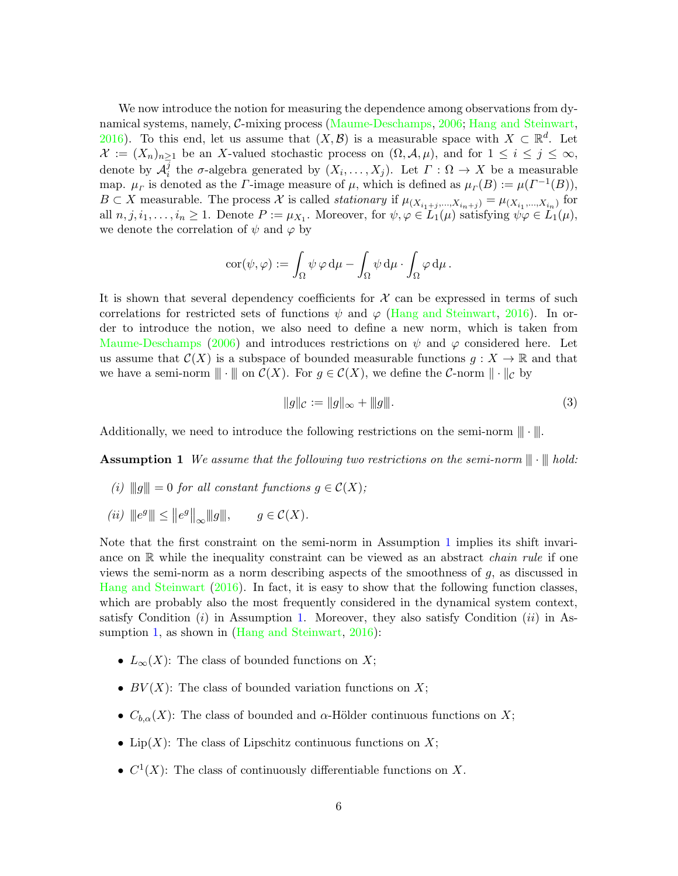We now introduce the notion for measuring the dependence among observations from dynamical systems, namely, C-mixing process [\(Maume-Deschamps](#page-35-13), [2006;](#page-35-13) [Hang and Steinwart](#page-34-1), [2016\)](#page-34-1). To this end, let us assume that  $(X, \mathcal{B})$  is a measurable space with  $X \subset \mathbb{R}^d$ . Let  $\mathcal{X} := (X_n)_{n \geq 1}$  be an X-valued stochastic process on  $(\Omega, \mathcal{A}, \mu)$ , and for  $1 \leq i \leq j \leq \infty$ , denote by  $\mathcal{A}_i^j$ <sup>j</sup> the σ-algebra generated by  $(X_i, \ldots, X_j)$ . Let  $\Gamma : \Omega \to X$  be a measurable map.  $\mu_F$  is denoted as the *Γ*-image measure of  $\mu$ , which is defined as  $\mu_F(B) := \mu(F^{-1}(B)),$  $B \subset X$  measurable. The process X is called *stationary* if  $\mu_{(X_{i_1+j},...,X_{i_n+j})} = \mu_{(X_{i_1},...,X_{i_n})}$  for all  $n, j, i_1, \ldots, i_n \geq 1$ . Denote  $P := \mu_{X_1}$ . Moreover, for  $\psi, \varphi \in L_1(\mu)$  satisfying  $\psi \varphi \in L_1(\mu)$ , we denote the correlation of  $\psi$  and  $\varphi$  by

$$
\mathrm{cor}(\psi,\varphi):=\int_{\Omega}\psi\,\varphi\,\mathrm{d}\mu-\int_{\Omega}\psi\,\mathrm{d}\mu\cdot\int_{\Omega}\varphi\,\mathrm{d}\mu\,.
$$

It is shown that several dependency coefficients for  $\mathcal X$  can be expressed in terms of such correlations for restricted sets of functions  $\psi$  and  $\varphi$  [\(Hang and Steinwart](#page-34-1), [2016](#page-34-1)). In order to introduce the notion, we also need to define a new norm, which is taken from [Maume-Deschamps](#page-35-13) [\(2006](#page-35-13)) and introduces restrictions on  $\psi$  and  $\varphi$  considered here. Let us assume that  $\mathcal{C}(X)$  is a subspace of bounded measurable functions  $g: X \to \mathbb{R}$  and that we have a semi-norm  $\|\cdot\|$  on  $\mathcal{C}(X)$ . For  $g \in \mathcal{C}(X)$ , we define the C-norm  $\|\cdot\|_{\mathcal{C}}$  by

<span id="page-5-1"></span><span id="page-5-0"></span>
$$
||g||_{\mathcal{C}} := ||g||_{\infty} + ||g||. \tag{3}
$$

Additionally, we need to introduce the following restrictions on the semi-norm  $\|\cdot\|$ .

**Assumption 1** We assume that the following two restrictions on the semi-norm  $\|\cdot\|$  hold:

- (i)  $||g|| = 0$  for all constant functions  $g \in \mathcal{C}(X)$ ;
- (ii)  $||e^g|| \le ||e^g||_{\infty} ||g||$ ,  $g \in \mathcal{C}(X)$ .

Note that the first constraint on the semi-norm in Assumption [1](#page-5-0) implies its shift invariance on  $\mathbb R$  while the inequality constraint can be viewed as an abstract *chain rule* if one views the semi-norm as a norm describing aspects of the smoothness of  $q$ , as discussed in [Hang and Steinwart](#page-34-1) [\(2016](#page-34-1)). In fact, it is easy to show that the following function classes, which are probably also the most frequently considered in the dynamical system context, satisfy Condition  $(i)$  in Assumption [1.](#page-5-0) Moreover, they also satisfy Condition  $(ii)$  in As-sumption [1,](#page-5-0) as shown in [\(Hang and Steinwart](#page-34-1), [2016](#page-34-1)):

- $L_{\infty}(X)$ : The class of bounded functions on X;
- $BV(X)$ : The class of bounded variation functions on X;
- $C_{b,\alpha}(X)$ : The class of bounded and  $\alpha$ -Hölder continuous functions on X;
- Lip $(X)$ : The class of Lipschitz continuous functions on X;
- $C^1(X)$ : The class of continuously differentiable functions on X.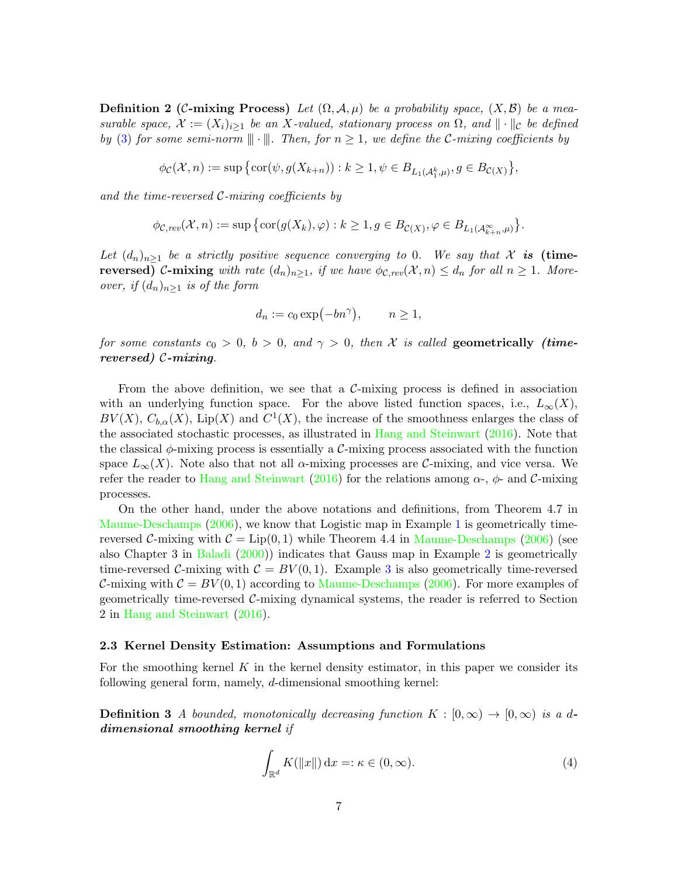**Definition 2 (C-mixing Process)** Let  $(\Omega, \mathcal{A}, \mu)$  be a probability space,  $(X, \mathcal{B})$  be a measurable space,  $\mathcal{X} := (X_i)_{i \geq 1}$  be an X-valued, stationary process on  $\Omega$ , and  $\|\cdot\|_{\mathcal{C}}$  be defined by [\(3\)](#page-5-1) for some semi-norm  $\|\cdot\|$ . Then, for  $n \geq 1$ , we define the C-mixing coefficients by

$$
\phi_{\mathcal C}({\mathcal X},n):=\sup\big\{\hbox{cor}(\psi,g(X_{k+n})) : k\ge 1, \psi\in B_{L_1({\mathcal A}_1^k,\mu)}, g\in B_{{\mathcal C}(X)}\big\},
$$

and the time-reversed  $C$ -mixing coefficients by

$$
\phi_{\mathcal{C},rev}(\mathcal{X},n) := \sup \big\{ \text{cor}(g(X_k),\varphi) : k \geq 1, g \in B_{\mathcal{C}(X)}, \varphi \in B_{L_1(\mathcal{A}_{k+n}^{\infty},\mu)} \big\}.
$$

Let  $(d_n)_{n\geq 1}$  be a strictly positive sequence converging to 0. We say that X is (time**reversed)** C-mixing with rate  $(d_n)_{n\geq 1}$ , if we have  $\phi_{\mathcal{C},rev}(\mathcal{X}, n) \leq d_n$  for all  $n \geq 1$ . Moreover, if  $(d_n)_{n\geq 1}$  is of the form

$$
d_n := c_0 \exp(-bn^{\gamma}), \qquad n \ge 1,
$$

for some constants  $c_0 > 0$ ,  $b > 0$ , and  $\gamma > 0$ , then X is called geometrically *(time*reversed) C-mixing.

From the above definition, we see that a  $C$ -mixing process is defined in association with an underlying function space. For the above listed function spaces, i.e.,  $L_{\infty}(X)$ ,  $BV(X)$ ,  $C_{b,\alpha}(X)$ , Lip(X) and  $C^1(X)$ , the increase of the smoothness enlarges the class of the associated stochastic processes, as illustrated in [Hang and Steinwart](#page-34-1) [\(2016](#page-34-1)). Note that the classical  $\phi$ -mixing process is essentially a C-mixing process associated with the function space  $L_{\infty}(X)$ . Note also that not all  $\alpha$ -mixing processes are C-mixing, and vice versa. We refer the reader to [Hang and Steinwart](#page-34-1) [\(2016](#page-34-1)) for the relations among  $\alpha$ -,  $\phi$ - and C-mixing processes.

On the other hand, under the above notations and definitions, from Theorem 4.7 in [Maume-Deschamps](#page-35-13) [\(2006](#page-35-13)), we know that Logistic map in Example [1](#page-4-2) is geometrically timereversed C-mixing with  $C = Lip(0, 1)$  while Theorem 4.4 in [Maume-Deschamps](#page-35-13) [\(2006\)](#page-35-13) (see also Chapter 3 in [Baladi](#page-33-4) [\(2000\)](#page-33-4)) indicates that Gauss map in Example [2](#page-4-3) is geometrically time-reversed C-mixing with  $C = BV(0, 1)$ . Example [3](#page-4-0) is also geometrically time-reversed C-mixing with  $C = BV(0, 1)$  according to [Maume-Deschamps](#page-35-13) [\(2006](#page-35-13)). For more examples of geometrically time-reversed  $\mathcal{C}\text{-mixing dynamical systems}$ , the reader is referred to Section 2 in [Hang and Steinwart](#page-34-1) [\(2016](#page-34-1)).

#### 2.3 Kernel Density Estimation: Assumptions and Formulations

<span id="page-6-0"></span>For the smoothing kernel K in the kernel density estimator, in this paper we consider its following general form, namely, d-dimensional smoothing kernel:

**Definition 3** A bounded, monotonically decreasing function  $K : [0, \infty) \to [0, \infty)$  is a ddimensional smoothing kernel if

$$
\int_{\mathbb{R}^d} K(\|x\|) dx =: \kappa \in (0, \infty).
$$
\n(4)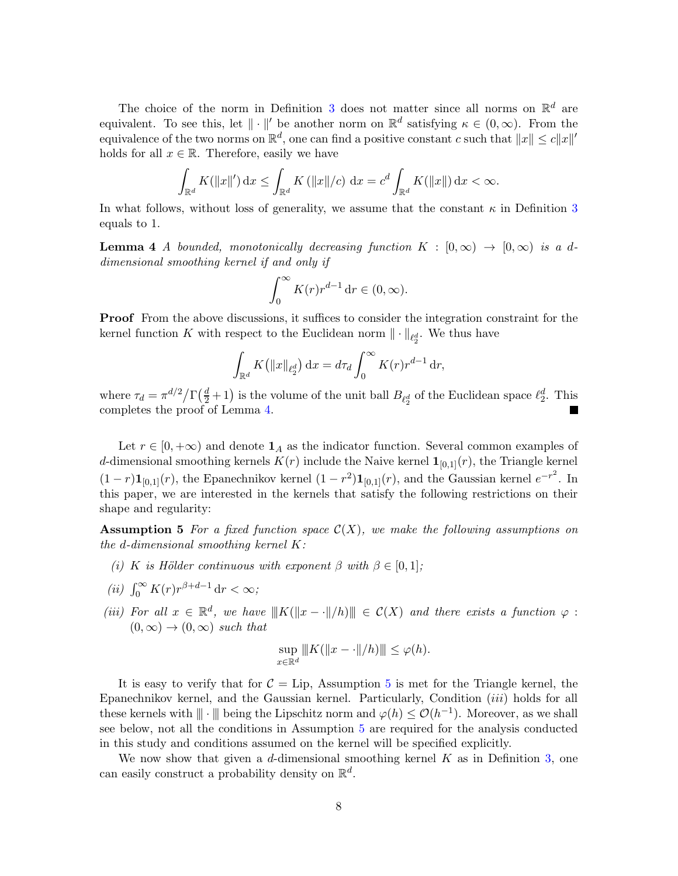The choice of the norm in Definition [3](#page-6-0) does not matter since all norms on  $\mathbb{R}^d$  are equivalent. To see this, let  $\|\cdot\|'$  be another norm on  $\mathbb{R}^d$  satisfying  $\kappa \in (0,\infty)$ . From the equivalence of the two norms on  $\mathbb{R}^d$ , one can find a positive constant c such that  $||x|| \leq c||x||'$ holds for all  $x \in \mathbb{R}$ . Therefore, easily we have

$$
\int_{\mathbb{R}^d} K(\|x\|') \, dx \le \int_{\mathbb{R}^d} K(\|x\|/c) \, dx = c^d \int_{\mathbb{R}^d} K(\|x\|) \, dx < \infty.
$$

<span id="page-7-0"></span>In what follows, without loss of generality, we assume that the constant  $\kappa$  in Definition [3](#page-6-0) equals to 1.

**Lemma 4** A bounded, monotonically decreasing function  $K : [0, \infty) \rightarrow [0, \infty)$  is a ddimensional smoothing kernel if and only if

$$
\int_0^\infty K(r)r^{d-1}\,\mathrm{d}r\in(0,\infty).
$$

Proof From the above discussions, it suffices to consider the integration constraint for the kernel function K with respect to the Euclidean norm  $\|\cdot\|_{\ell_2^d}$ . We thus have

$$
\int_{\mathbb{R}^d} K(|x||_{\ell_2^d}) dx = d\tau_d \int_0^\infty K(r) r^{d-1} dr,
$$

where  $\tau_d = \pi^{d/2} / \Gamma(\frac{d}{2} + 1)$  is the volume of the unit ball  $B_{\ell_2^d}$  of the Euclidean space  $\ell_2^d$ . This completes the proof of Lemma [4.](#page-7-0)

Let  $r \in [0, +\infty)$  and denote  $\mathbf{1}_A$  as the indicator function. Several common examples of d-dimensional smoothing kernels  $K(r)$  include the Naive kernel  $\mathbf{1}_{[0,1]}(r)$ , the Triangle kernel  $(1 - r)\mathbf{1}_{[0,1]}(r)$ , the Epanechnikov kernel  $(1 - r^2)\mathbf{1}_{[0,1]}(r)$ , and the Gaussian kernel  $e^{-r^2}$ . In this paper, we are interested in the kernels that satisfy the following restrictions on their shape and regularity:

<span id="page-7-1"></span>**Assumption 5** For a fixed function space  $\mathcal{C}(X)$ , we make the following assumptions on the d-dimensional smoothing kernel K:

(i) K is Hölder continuous with exponent  $\beta$  with  $\beta \in [0,1]$ ;

$$
(ii) \int_0^\infty K(r)r^{\beta+d-1} \, \mathrm{d}r < \infty;
$$

(iii) For all  $x \in \mathbb{R}^d$ , we have  $|||K(||x - \cdot||/h)|| \in C(X)$  and there exists a function  $\varphi$ :  $(0, \infty) \rightarrow (0, \infty)$  such that

$$
\sup_{x \in \mathbb{R}^d} ||K(||x - \cdot||/h)|| \le \varphi(h).
$$

It is easy to verify that for  $C = Lip$ , Assumption [5](#page-7-1) is met for the Triangle kernel, the Epanechnikov kernel, and the Gaussian kernel. Particularly, Condition  $(iii)$  holds for all these kernels with  $\|\cdot\|$  being the Lipschitz norm and  $\varphi(h) \leq \mathcal{O}(h^{-1})$ . Moreover, as we shall see below, not all the conditions in Assumption [5](#page-7-1) are required for the analysis conducted in this study and conditions assumed on the kernel will be specified explicitly.

We now show that given a d-dimensional smoothing kernel K as in Definition [3,](#page-6-0) one can easily construct a probability density on  $\mathbb{R}^d$ .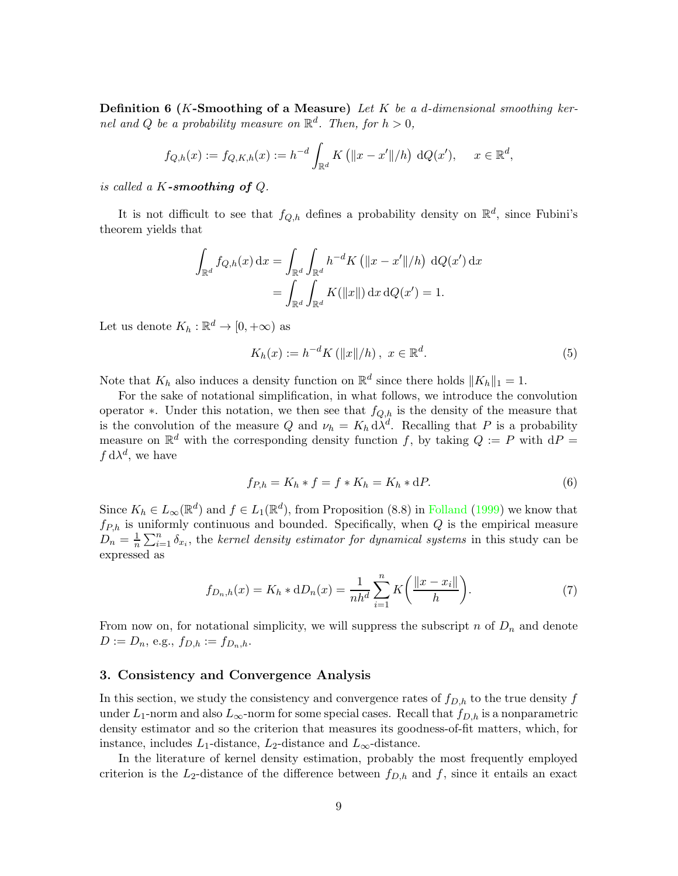**Definition 6** (K-Smoothing of a Measure) Let K be a d-dimensional smoothing kernel and Q be a probability measure on  $\mathbb{R}^d$ . Then, for  $h > 0$ ,

$$
f_{Q,h}(x) := f_{Q,K,h}(x) := h^{-d} \int_{\mathbb{R}^d} K\left( \|x - x'\|/h \right) dQ(x'), \quad x \in \mathbb{R}^d,
$$

is called a  $K$ -smoothing of  $Q$ .

It is not difficult to see that  $f_{Q,h}$  defines a probability density on  $\mathbb{R}^d$ , since Fubini's theorem yields that

$$
\int_{\mathbb{R}^d} f_{Q,h}(x) dx = \int_{\mathbb{R}^d} \int_{\mathbb{R}^d} h^{-d} K \left( ||x - x'||/h \right) dQ(x') dx
$$

$$
= \int_{\mathbb{R}^d} \int_{\mathbb{R}^d} K(||x||) dx dQ(x') = 1.
$$

Let us denote  $K_h : \mathbb{R}^d \to [0, +\infty)$  as

<span id="page-8-3"></span>
$$
K_h(x) := h^{-d} K\left(\|x\|/h\right), \ x \in \mathbb{R}^d. \tag{5}
$$

Note that  $K_h$  also induces a density function on  $\mathbb{R}^d$  since there holds  $||K_h||_1 = 1$ .

For the sake of notational simplification, in what follows, we introduce the convolution operator ∗. Under this notation, we then see that  $f_{Q,h}$  is the density of the measure that is the convolution of the measure Q and  $\nu_h = K_h d\lambda^d$ . Recalling that P is a probability measure on  $\mathbb{R}^d$  with the corresponding density function f, by taking  $Q := P$  with  $dP =$  $f \, d\lambda^d$ , we have

<span id="page-8-2"></span><span id="page-8-1"></span>
$$
f_{P,h} = K_h * f = f * K_h = K_h * dP.
$$
 (6)

Since  $K_h \in L_\infty(\mathbb{R}^d)$  and  $f \in L_1(\mathbb{R}^d)$ , from Proposition (8.8) in [Folland](#page-34-9) [\(1999](#page-34-9)) we know that  $f_{P,h}$  is uniformly continuous and bounded. Specifically, when  $Q$  is the empirical measure  $D_n = \frac{1}{n}$  $\frac{1}{n}\sum_{i=1}^{n} \delta_{x_i}$ , the kernel density estimator for dynamical systems in this study can be expressed as

$$
f_{D_n,h}(x) = K_h * dD_n(x) = \frac{1}{nh^d} \sum_{i=1}^n K\left(\frac{\|x - x_i\|}{h}\right).
$$
 (7)

From now on, for notational simplicity, we will suppress the subscript n of  $D_n$  and denote  $D := D_n$ , e.g.,  $f_{D,h} := f_{D_n,h}$ .

## <span id="page-8-0"></span>3. Consistency and Convergence Analysis

In this section, we study the consistency and convergence rates of  $f_{D,h}$  to the true density f under  $L_1$ -norm and also  $L_{\infty}$ -norm for some special cases. Recall that  $f_{D,h}$  is a nonparametric density estimator and so the criterion that measures its goodness-of-fit matters, which, for instance, includes  $L_1$ -distance,  $L_2$ -distance and  $L_{\infty}$ -distance.

In the literature of kernel density estimation, probably the most frequently employed criterion is the  $L_2$ -distance of the difference between  $f_{D,h}$  and f, since it entails an exact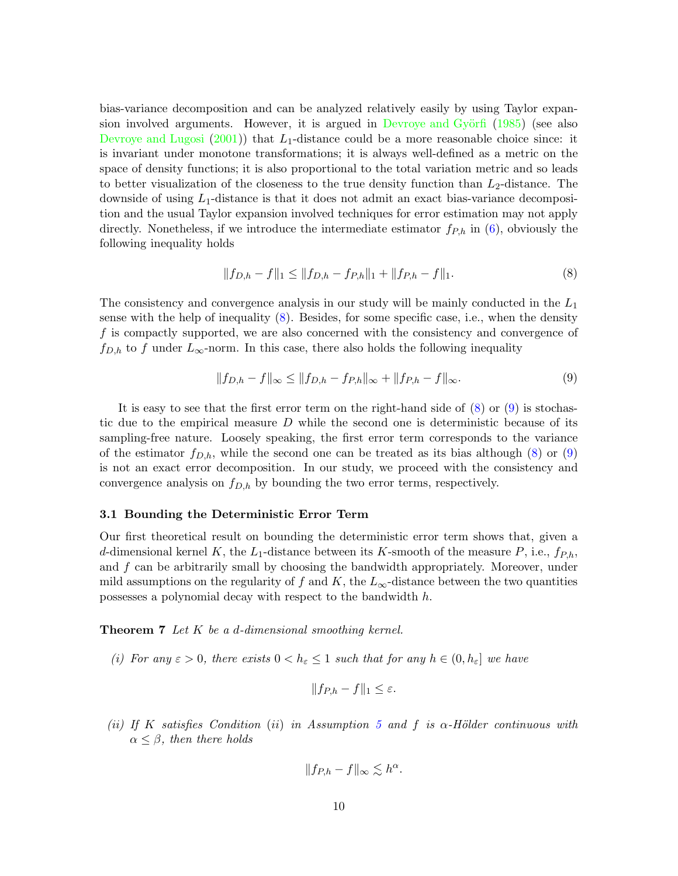bias-variance decomposition and can be analyzed relatively easily by using Taylor expan-sion involved arguments. However, it is argued in Devroye and Györfi [\(1985\)](#page-34-10) (see also [Devroye and Lugosi](#page-34-11)  $(2001)$  $(2001)$ ) that  $L_1$ -distance could be a more reasonable choice since: it is invariant under monotone transformations; it is always well-defined as a metric on the space of density functions; it is also proportional to the total variation metric and so leads to better visualization of the closeness to the true density function than  $L_2$ -distance. The downside of using  $L_1$ -distance is that it does not admit an exact bias-variance decomposition and the usual Taylor expansion involved techniques for error estimation may not apply directly. Nonetheless, if we introduce the intermediate estimator  $f_{P,h}$  in  $(6)$ , obviously the following inequality holds

<span id="page-9-0"></span>
$$
||f_{D,h} - f||_1 \le ||f_{D,h} - f_{P,h}||_1 + ||f_{P,h} - f||_1.
$$
\n(8)

The consistency and convergence analysis in our study will be mainly conducted in the  $L_1$ sense with the help of inequality [\(8\)](#page-9-0). Besides, for some specific case, i.e., when the density f is compactly supported, we are also concerned with the consistency and convergence of  $f_{D,h}$  to f under  $L_{\infty}$ -norm. In this case, there also holds the following inequality

<span id="page-9-1"></span>
$$
||f_{D,h} - f||_{\infty} \le ||f_{D,h} - f_{P,h}||_{\infty} + ||f_{P,h} - f||_{\infty}.
$$
\n(9)

It is easy to see that the first error term on the right-hand side of  $(8)$  or  $(9)$  is stochastic due to the empirical measure  $D$  while the second one is deterministic because of its sampling-free nature. Loosely speaking, the first error term corresponds to the variance of the estimator  $f_{D,h}$ , while the second one can be treated as its bias although [\(8\)](#page-9-0) or [\(9\)](#page-9-1) is not an exact error decomposition. In our study, we proceed with the consistency and convergence analysis on  $f_{D,h}$  by bounding the two error terms, respectively.

## 3.1 Bounding the Deterministic Error Term

Our first theoretical result on bounding the deterministic error term shows that, given a d-dimensional kernel K, the  $L_1$ -distance between its K-smooth of the measure P, i.e.,  $f_{P,h}$ , and  $f$  can be arbitrarily small by choosing the bandwidth appropriately. Moreover, under mild assumptions on the regularity of f and K, the  $L_{\infty}$ -distance between the two quantities possesses a polynomial decay with respect to the bandwidth h.

<span id="page-9-2"></span>Theorem 7 Let K be a d-dimensional smoothing kernel.

(i) For any  $\varepsilon > 0$ , there exists  $0 < h_{\varepsilon} \leq 1$  such that for any  $h \in (0, h_{\varepsilon}]$  we have

$$
||f_{P,h} - f||_1 \leq \varepsilon.
$$

(ii) If K satisfies Condition (ii) in Assumption [5](#page-7-1) and f is  $\alpha$ -Hölder continuous with  $\alpha \leq \beta$ , then there holds

$$
||f_{P,h} - f||_{\infty} \lesssim h^{\alpha}
$$

.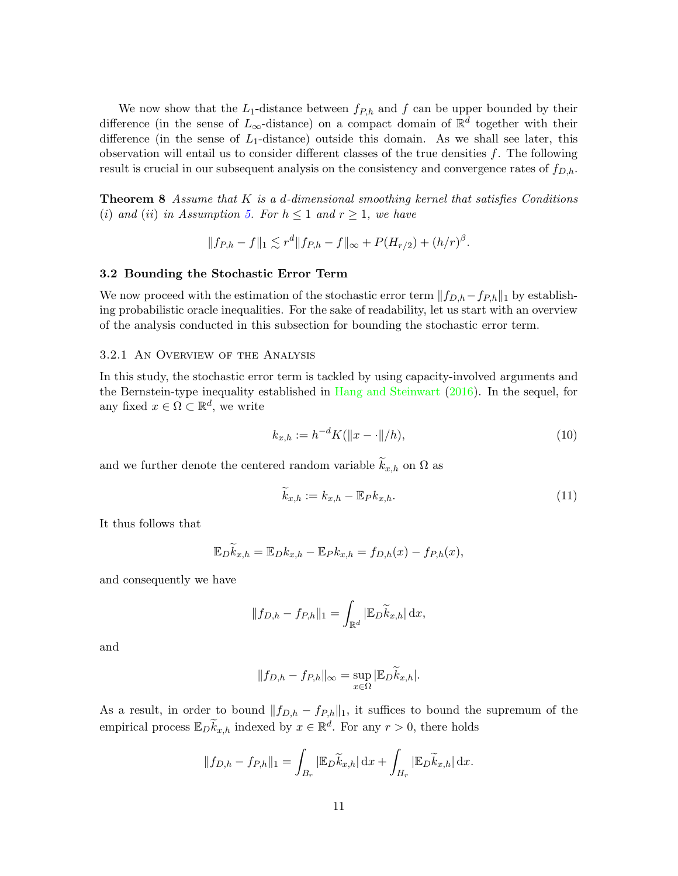We now show that the  $L_1$ -distance between  $f_{P,h}$  and f can be upper bounded by their difference (in the sense of  $L_{\infty}$ -distance) on a compact domain of  $\mathbb{R}^d$  together with their difference (in the sense of  $L_1$ -distance) outside this domain. As we shall see later, this observation will entail us to consider different classes of the true densities  $f$ . The following result is crucial in our subsequent analysis on the consistency and convergence rates of  $f_{D,h}$ .

<span id="page-10-0"></span>**Theorem 8** Assume that  $K$  is a d-dimensional smoothing kernel that satisfies Conditions (i) and (ii) in Assumption [5.](#page-7-1) For  $h \leq 1$  and  $r \geq 1$ , we have

$$
||f_{P,h} - f||_1 \lesssim r^d ||f_{P,h} - f||_{\infty} + P(H_{r/2}) + (h/r)^{\beta}.
$$

#### 3.2 Bounding the Stochastic Error Term

We now proceed with the estimation of the stochastic error term  $||f_{D,h}-f_{P,h}||_1$  by establishing probabilistic oracle inequalities. For the sake of readability, let us start with an overview of the analysis conducted in this subsection for bounding the stochastic error term.

#### 3.2.1 An Overview of the Analysis

In this study, the stochastic error term is tackled by using capacity-involved arguments and the Bernstein-type inequality established in [Hang and Steinwart](#page-34-1) [\(2016\)](#page-34-1). In the sequel, for any fixed  $x \in \Omega \subset \mathbb{R}^d$ , we write

<span id="page-10-1"></span>
$$
k_{x,h} := h^{-d} K(||x - \cdot||/h),
$$
\n(10)

and we further denote the centered random variable  $\widetilde{k}_{x,h}$  on  $\Omega$  as

<span id="page-10-2"></span>
$$
\widetilde{k}_{x,h} := k_{x,h} - \mathbb{E}_P k_{x,h}.\tag{11}
$$

It thus follows that

$$
\mathbb{E}_D \widetilde{k}_{x,h} = \mathbb{E}_D k_{x,h} - \mathbb{E}_P k_{x,h} = f_{D,h}(x) - f_{P,h}(x),
$$

and consequently we have

$$
||f_{D,h} - f_{P,h}||_1 = \int_{\mathbb{R}^d} |\mathbb{E}_D \widetilde{k}_{x,h}| \,dx,
$$

and

$$
||f_{D,h} - f_{P,h}||_{\infty} = \sup_{x \in \Omega} |\mathbb{E}_D \widetilde{k}_{x,h}|.
$$

As a result, in order to bound  $||f_{D,h} - f_{P,h}||_1$ , it suffices to bound the supremum of the empirical process  $\mathbb{E}_{D} \widetilde{k}_{x,h}$  indexed by  $x \in \mathbb{R}^{d}$ . For any  $r > 0$ , there holds

$$
||f_{D,h} - f_{P,h}||_1 = \int_{B_r} |\mathbb{E}_D \widetilde{k}_{x,h}| \,dx + \int_{H_r} |\mathbb{E}_D \widetilde{k}_{x,h}| \,dx.
$$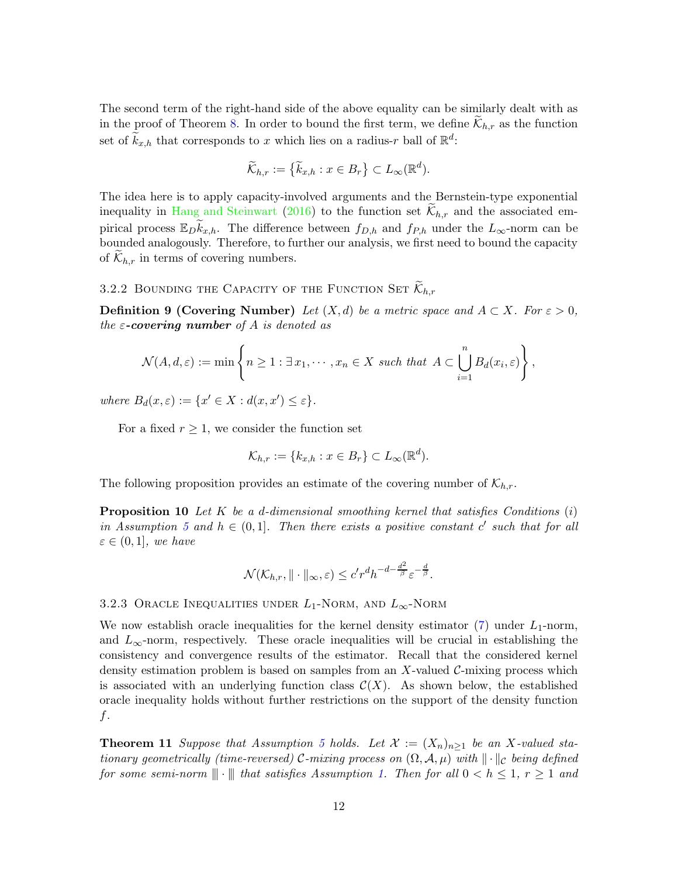The second term of the right-hand side of the above equality can be similarly dealt with as in the proof of Theorem [8.](#page-10-0) In order to bound the first term, we define  $\mathcal{K}_{h,r}$  as the function set of  $\widetilde{k}_{x,h}$  that corresponds to x which lies on a radius-r ball of  $\mathbb{R}^d$ :

$$
\widetilde{\mathcal{K}}_{h,r} := \left\{ \widetilde{k}_{x,h} : x \in B_r \right\} \subset L_\infty(\mathbb{R}^d).
$$

The idea here is to apply capacity-involved arguments and the Bernstein-type exponential inequality in [Hang and Steinwart](#page-34-1) [\(2016](#page-34-1)) to the function set  $\mathcal{K}_{h,r}$  and the associated empirical process  $\mathbb{E}_D \tilde{k}_{x,h}$ . The difference between  $f_{D,h}$  and  $f_{P,h}$  under the  $L_{\infty}$ -norm can be bounded analogously. Therefore, to further our analysis, we first need to bound the capacity of  $\mathcal{K}_{h,r}$  in terms of covering numbers.

3.2.2 BOUNDING THE CAPACITY OF THE FUNCTION SET  $\mathcal{K}_{h,r}$ 

**Definition 9 (Covering Number)** Let  $(X,d)$  be a metric space and  $A \subset X$ . For  $\varepsilon > 0$ , the  $\varepsilon$ -covering number of A is denoted as

$$
\mathcal{N}(A,d,\varepsilon):=\min\left\{n\geq 1:\exists x_1,\cdots,x_n\in X \text{ such that } A\subset \bigcup_{i=1}^n B_d(x_i,\varepsilon)\right\},\,
$$

where  $B_d(x,\varepsilon) := \{x' \in X : d(x,x') \leq \varepsilon\}.$ 

For a fixed  $r \geq 1$ , we consider the function set

$$
\mathcal{K}_{h,r} := \{k_{x,h} : x \in B_r\} \subset L_\infty(\mathbb{R}^d).
$$

<span id="page-11-2"></span>The following proposition provides an estimate of the covering number of  $\mathcal{K}_{h,r}$ .

**Proposition 10** Let K be a d-dimensional smoothing kernel that satisfies Conditions  $(i)$ in Assumption [5](#page-7-1) and  $h \in (0,1]$ . Then there exists a positive constant c' such that for all  $\varepsilon \in (0,1]$ , we have

$$
\mathcal{N}(\mathcal{K}_{h,r}, \|\cdot\|_{\infty}, \varepsilon) \leq c' r^d h^{-d - \frac{d^2}{\beta}} \varepsilon^{-\frac{d}{\beta}}.
$$

#### <span id="page-11-1"></span>3.2.3 ORACLE INEQUALITIES UNDER  $L_1$ -Norm, and  $L_\infty$ -Norm

We now establish oracle inequalities for the kernel density estimator  $(7)$  under  $L_1$ -norm, and  $L_{\infty}$ -norm, respectively. These oracle inequalities will be crucial in establishing the consistency and convergence results of the estimator. Recall that the considered kernel density estimation problem is based on samples from an X-valued  $\mathcal{C}\text{-mixing process which}$ is associated with an underlying function class  $\mathcal{C}(X)$ . As shown below, the established oracle inequality holds without further restrictions on the support of the density function f.

<span id="page-11-0"></span>**Theorem 11** Suppose that Assumption [5](#page-7-1) holds. Let  $\mathcal{X} := (X_n)_{n \geq 1}$  be an X-valued stationary geometrically (time-reversed) C-mixing process on  $(\Omega, \mathcal{A}, \mu)$  with  $\|\cdot\|_C$  being defined for some semi-norm  $\|\cdot\|$  that satisfies Assumption [1.](#page-5-0) Then for all  $0 < h \leq 1$ ,  $r \geq 1$  and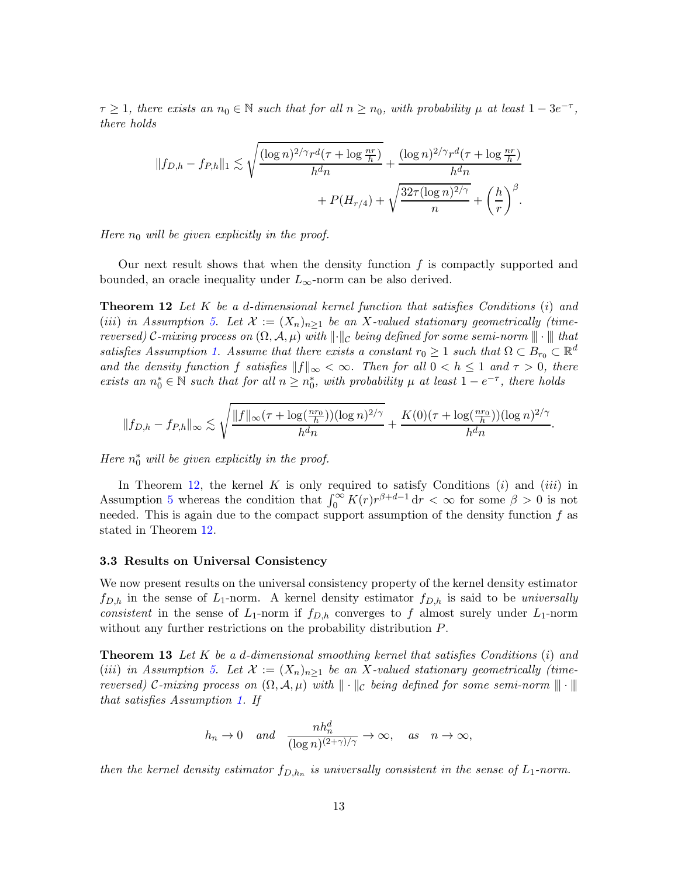$\tau \geq 1$ , there exists an  $n_0 \in \mathbb{N}$  such that for all  $n \geq n_0$ , with probability  $\mu$  at least  $1 - 3e^{-\tau}$ , there holds

<span id="page-12-0"></span>
$$
||f_{D,h} - f_{P,h}||_1 \lesssim \sqrt{\frac{(\log n)^{2/\gamma} r^d (\tau + \log \frac{nr}{h})}{h^d n}} + \frac{(\log n)^{2/\gamma} r^d (\tau + \log \frac{nr}{h})}{h^d n}
$$

$$
+ P(H_{r/4}) + \sqrt{\frac{32\tau (\log n)^{2/\gamma}}{n}} + \left(\frac{h}{r}\right)^{\beta}.
$$

Here  $n_0$  will be given explicitly in the proof.

Our next result shows that when the density function  $f$  is compactly supported and bounded, an oracle inequality under  $L_{\infty}$ -norm can be also derived.

**Theorem 12** Let K be a d-dimensional kernel function that satisfies Conditions  $(i)$  and (iii) in Assumption [5.](#page-7-1) Let  $\mathcal{X} := (X_n)_{n \geq 1}$  be an X-valued stationary geometrically (timereversed) C-mixing process on  $(\Omega, \mathcal{A}, \mu)$  with  $\lVert \cdot \rVert_c$  being defined for some semi-norm  $\lVert \cdot \rVert$  that satisfies Assumption [1.](#page-5-0) Assume that there exists a constant  $r_0 \geq 1$  such that  $\Omega \subset B_{r_0} \subset \mathbb{R}^d$ and the density function f satisfies  $||f||_{\infty} < \infty$ . Then for all  $0 < h \leq 1$  and  $\tau > 0$ , there exists an  $n_0^* \in \mathbb{N}$  such that for all  $n \geq n_0^*$ , with probability  $\mu$  at least  $1 - e^{-\tau}$ , there holds

$$
||f_{D,h}-f_{P,h}||_{\infty} \lesssim \sqrt{\frac{||f||_{\infty}(\tau+\log(\frac{nr_0}{h}))(\log n)^{2/\gamma}}{h^dn}}+\frac{K(0)(\tau+\log(\frac{nr_0}{h}))(\log n)^{2/\gamma}}{h^dn}.
$$

Here  $n_0^*$  will be given explicitly in the proof.

In Theorem [12,](#page-12-0) the kernel  $K$  is only required to satisfy Conditions  $(i)$  and  $(iii)$  in Assumption [5](#page-7-1) whereas the condition that  $\int_0^\infty K(r)r^{\beta+d-1} dr < \infty$  for some  $\beta > 0$  is not needed. This is again due to the compact support assumption of the density function  $f$  as stated in Theorem [12.](#page-12-0)

#### 3.3 Results on Universal Consistency

We now present results on the universal consistency property of the kernel density estimator  $f_{D,h}$  in the sense of  $L_1$ -norm. A kernel density estimator  $f_{D,h}$  is said to be universally consistent in the sense of  $L_1$ -norm if  $f_{D,h}$  converges to f almost surely under  $L_1$ -norm without any further restrictions on the probability distribution  $P$ .

**Theorem 13** Let K be a d-dimensional smoothing kernel that satisfies Conditions  $(i)$  and (iii) in Assumption [5.](#page-7-1) Let  $\mathcal{X} := (X_n)_{n \geq 1}$  be an X-valued stationary geometrically (timereversed) C-mixing process on  $(\Omega, \mathcal{A}, \mu)$  with  $\|\cdot\|_c$  being defined for some semi-norm  $\|\|\cdot\|$ that satisfies Assumption [1.](#page-5-0) If

<span id="page-12-1"></span>
$$
h_n \to 0
$$
 and  $\frac{nh_n^d}{(\log n)^{(2+\gamma)/\gamma}} \to \infty$ , as  $n \to \infty$ ,

then the kernel density estimator  $f_{D,h_n}$  is universally consistent in the sense of  $L_1$ -norm.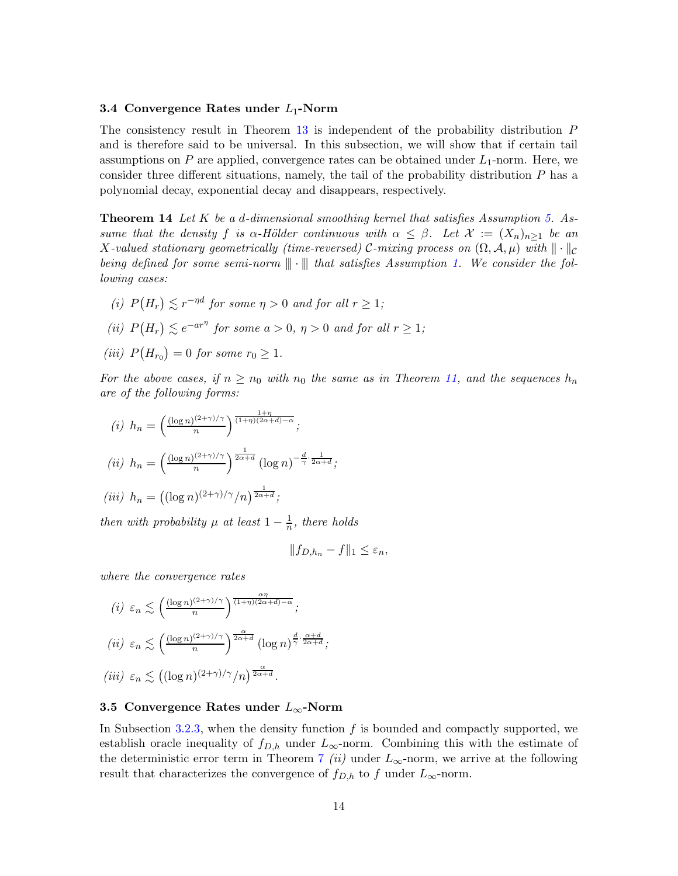## 3.4 Convergence Rates under  $L_1$ -Norm

The consistency result in Theorem [13](#page-12-1) is independent of the probability distribution P and is therefore said to be universal. In this subsection, we will show that if certain tail assumptions on P are applied, convergence rates can be obtained under  $L_1$ -norm. Here, we consider three different situations, namely, the tail of the probability distribution  $P$  has a polynomial decay, exponential decay and disappears, respectively.

<span id="page-13-0"></span>**Theorem 14** Let K be a d-dimensional smoothing kernel that satisfies Assumption [5.](#page-7-1) Assume that the density f is  $\alpha$ -Hölder continuous with  $\alpha \leq \beta$ . Let  $\mathcal{X} := (X_n)_{n>1}$  be an X-valued stationary geometrically (time-reversed) C-mixing process on  $(\Omega, \mathcal{A}, \mu)$  with  $\|\cdot\|_{\mathcal{C}}$ being defined for some semi-norm  $\|\cdot\|$  that satisfies Assumption [1.](#page-5-0) We consider the following cases:

- (i)  $P(H_r) \lesssim r^{-\eta d}$  for some  $\eta > 0$  and for all  $r \ge 1$ ;
- (ii)  $P(H_r) \lesssim e^{-ar\eta}$  for some  $a > 0$ ,  $\eta > 0$  and for all  $r \ge 1$ ;
- (iii)  $P(H_{r_0}) = 0$  for some  $r_0 \geq 1$ .

For the above cases, if  $n \ge n_0$  with  $n_0$  the same as in Theorem [11,](#page-11-0) and the sequences  $h_n$ are of the following forms:

$$
(i) h_n = \left(\frac{(\log n)^{(2+\gamma)/\gamma}}{n}\right)^{\frac{1+\eta}{(1+\eta)(2\alpha+d)-\alpha}};
$$
  

$$
(ii) h_n = \left(\frac{(\log n)^{(2+\gamma)/\gamma}}{n}\right)^{\frac{1}{2\alpha+d}} (\log n)^{-\frac{d}{\gamma}\cdot\frac{1}{2\alpha+d}};
$$
  

$$
(iii) h_n = ((\log n)^{(2+\gamma)/\gamma}/n)^{\frac{1}{2\alpha+d}};
$$

then with probability  $\mu$  at least  $1 - \frac{1}{n}$  $\frac{1}{n}$ , there holds

$$
||f_{D,h_n} - f||_1 \leq \varepsilon_n,
$$

where the convergence rates

$$
(i) \varepsilon_n \lesssim \left(\frac{(\log n)^{(2+\gamma)/\gamma}}{n}\right)^{\frac{\alpha\eta}{(1+\eta)(2\alpha+d)-\alpha}};
$$
  

$$
(ii) \varepsilon_n \lesssim \left(\frac{(\log n)^{(2+\gamma)/\gamma}}{n}\right)^{\frac{\alpha}{2\alpha+d}} (\log n)^{\frac{d}{\gamma} \cdot \frac{\alpha+d}{2\alpha+d}};
$$
  

$$
(iii) \varepsilon_n \lesssim \left((\log n)^{(2+\gamma)/\gamma}/n\right)^{\frac{\alpha}{2\alpha+d}}.
$$

## 3.5 Convergence Rates under  $L_{\infty}$ -Norm

<span id="page-13-1"></span>In Subsection [3.2.3,](#page-11-1) when the density function  $f$  is bounded and compactly supported, we establish oracle inequality of  $f_{D,h}$  under  $L_{\infty}$ -norm. Combining this with the estimate of the deterministic error term in Theorem [7](#page-9-2) (ii) under  $L_{\infty}$ -norm, we arrive at the following result that characterizes the convergence of  $f_{D,h}$  to f under  $L_{\infty}$ -norm.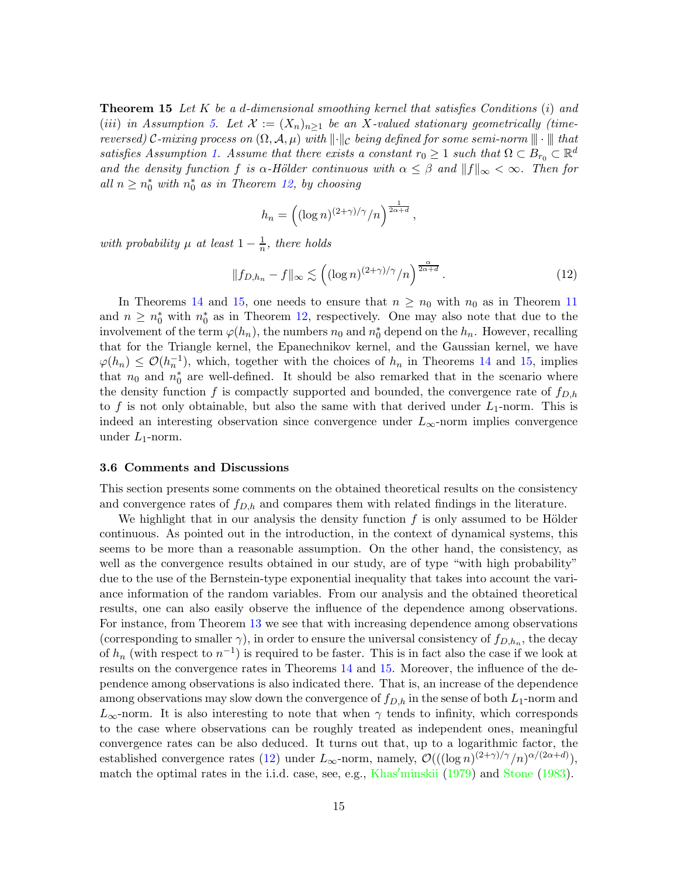**Theorem 15** Let K be a d-dimensional smoothing kernel that satisfies Conditions  $(i)$  and (iii) in Assumption [5.](#page-7-1) Let  $\mathcal{X} := (X_n)_{n>1}$  be an X-valued stationary geometrically (timereversed) C-mixing process on  $(\Omega, \mathcal{A}, \mu)$  with  $\lVert \cdot \rVert_c$  being defined for some semi-norm  $\lVert \cdot \rVert$  that satisfies Assumption [1.](#page-5-0) Assume that there exists a constant  $r_0 \geq 1$  such that  $\Omega \subset B_{r_0} \subset \mathbb{R}^d$ and the density function f is  $\alpha$ -Hölder continuous with  $\alpha \leq \beta$  and  $||f||_{\infty} < \infty$ . Then for all  $n \geq n_0^*$  with  $n_0^*$  as in Theorem [12,](#page-12-0) by choosing

$$
h_n = \left( (\log n)^{(2+\gamma)/\gamma}/n \right)^{\frac{1}{2\alpha+d}}
$$

with probability  $\mu$  at least  $1-\frac{1}{n}$  $\frac{1}{n}$ , there holds

$$
||f_{D,h_n} - f||_{\infty} \lesssim \left( (\log n)^{(2+\gamma)/\gamma}/n \right)^{\frac{\alpha}{2\alpha+d}}.
$$
 (12)

<span id="page-14-1"></span>,

In Theorems [14](#page-13-0) and [15,](#page-13-1) one needs to ensure that  $n \geq n_0$  with  $n_0$  as in Theorem [11](#page-11-0) and  $n \geq n_0^*$  with  $n_0^*$  as in Theorem [12,](#page-12-0) respectively. One may also note that due to the involvement of the term  $\varphi(h_n)$ , the numbers  $n_0$  and  $n_0^*$  depend on the  $h_n$ . However, recalling that for the Triangle kernel, the Epanechnikov kernel, and the Gaussian kernel, we have  $\varphi(h_n) \leq \mathcal{O}(h_n^{-1}),$  which, together with the choices of  $h_n$  in Theorems [14](#page-13-0) and [15,](#page-13-1) implies that  $n_0$  and  $n_0^*$  are well-defined. It should be also remarked that in the scenario where the density function f is compactly supported and bounded, the convergence rate of  $f_{D,h}$ to f is not only obtainable, but also the same with that derived under  $L_1$ -norm. This is indeed an interesting observation since convergence under  $L_{\infty}$ -norm implies convergence under  $L_1$ -norm.

## <span id="page-14-0"></span>3.6 Comments and Discussions

This section presents some comments on the obtained theoretical results on the consistency and convergence rates of  $f_{D,h}$  and compares them with related findings in the literature.

We highlight that in our analysis the density function  $f$  is only assumed to be Hölder continuous. As pointed out in the introduction, in the context of dynamical systems, this seems to be more than a reasonable assumption. On the other hand, the consistency, as well as the convergence results obtained in our study, are of type "with high probability" due to the use of the Bernstein-type exponential inequality that takes into account the variance information of the random variables. From our analysis and the obtained theoretical results, one can also easily observe the influence of the dependence among observations. For instance, from Theorem [13](#page-12-1) we see that with increasing dependence among observations (corresponding to smaller  $\gamma$ ), in order to ensure the universal consistency of  $f_{D,h_n}$ , the decay of  $h_n$  (with respect to  $n^{-1}$ ) is required to be faster. This is in fact also the case if we look at results on the convergence rates in Theorems [14](#page-13-0) and [15.](#page-13-1) Moreover, the influence of the dependence among observations is also indicated there. That is, an increase of the dependence among observations may slow down the convergence of  $f_{D,h}$  in the sense of both  $L_1$ -norm and  $L_{\infty}$ -norm. It is also interesting to note that when  $\gamma$  tends to infinity, which corresponds to the case where observations can be roughly treated as independent ones, meaningful convergence rates can be also deduced. It turns out that, up to a logarithmic factor, the established convergence rates [\(12\)](#page-14-1) under  $L_{\infty}$ -norm, namely,  $\mathcal{O}(((\log n)^{(2+\gamma)/\gamma}/n)^{\alpha/(2\alpha+d)}),$ match the optimal rates in the i.i.d. case, see, e.g., Khas′[minskii](#page-35-16) [\(1979\)](#page-35-16) and [Stone](#page-36-8) [\(1983](#page-36-8)).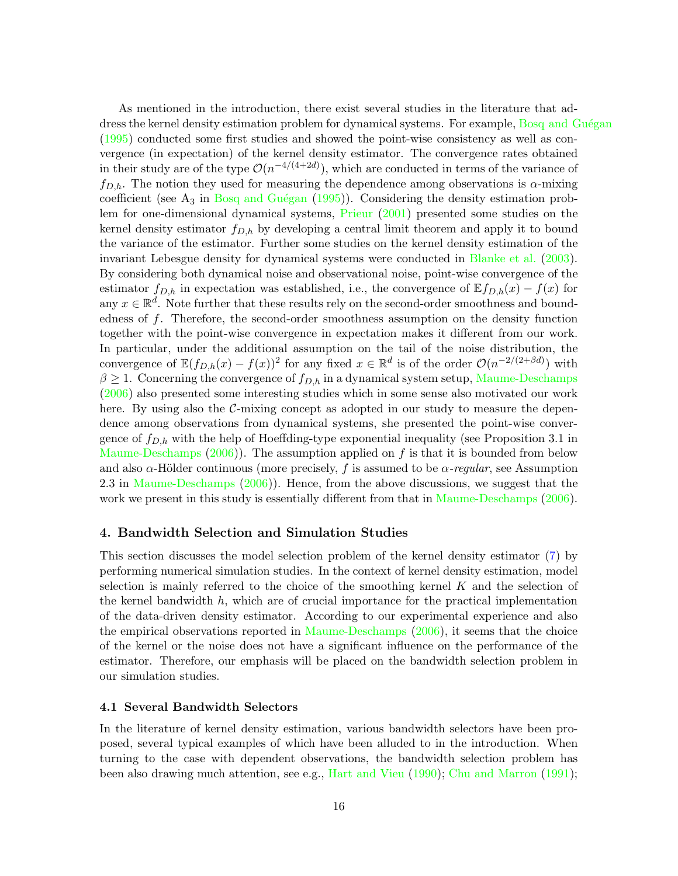As mentioned in the introduction, there exist several studies in the literature that address the kernel density estimation problem for dynamical systems. For example, Bosq and Guégan [\(1995](#page-33-5)) conducted some first studies and showed the point-wise consistency as well as convergence (in expectation) of the kernel density estimator. The convergence rates obtained in their study are of the type  $\mathcal{O}(n^{-4/(4+2d)})$ , which are conducted in terms of the variance of  $f_{D,h}$ . The notion they used for measuring the dependence among observations is  $\alpha$ -mixing coefficient (see  $A_3$  in Bosq and Guégan [\(1995\)](#page-33-5)). Considering the density estimation problem for one-dimensional dynamical systems, [Prieur](#page-35-17) [\(2001](#page-35-17)) presented some studies on the kernel density estimator  $f_{D,h}$  by developing a central limit theorem and apply it to bound the variance of the estimator. Further some studies on the kernel density estimation of the invariant Lebesgue density for dynamical systems were conducted in [Blanke et al.](#page-33-6) [\(2003](#page-33-6)). By considering both dynamical noise and observational noise, point-wise convergence of the estimator  $f_{D,h}$  in expectation was established, i.e., the convergence of  $\mathbb{E} f_{D,h}(x) - f(x)$  for any  $x \in \mathbb{R}^d$ . Note further that these results rely on the second-order smoothness and boundedness of f. Therefore, the second-order smoothness assumption on the density function together with the point-wise convergence in expectation makes it different from our work. In particular, under the additional assumption on the tail of the noise distribution, the convergence of  $\mathbb{E}(f_{D,h}(x) - f(x))^2$  for any fixed  $x \in \mathbb{R}^d$  is of the order  $\mathcal{O}(n^{-2/(2+\beta d)})$  with  $\beta \geq 1$ . Concerning the convergence of  $f_{D,h}$  in a dynamical system setup, [Maume-Deschamps](#page-35-13) [\(2006](#page-35-13)) also presented some interesting studies which in some sense also motivated our work here. By using also the  $\mathcal{C}\text{-mixing concept}$  as adopted in our study to measure the dependence among observations from dynamical systems, she presented the point-wise convergence of  $f_{D,h}$  with the help of Hoeffding-type exponential inequality (see Proposition 3.1 in [Maume-Deschamps](#page-35-13)  $(2006)$  $(2006)$ ). The assumption applied on f is that it is bounded from below and also  $\alpha$ -Hölder continuous (more precisely, f is assumed to be  $\alpha$ -regular, see Assumption 2.3 in [Maume-Deschamps](#page-35-13)  $(2006)$  $(2006)$ ). Hence, from the above discussions, we suggest that the work we present in this study is essentially different from that in [Maume-Deschamps](#page-35-13) [\(2006](#page-35-13)).

## <span id="page-15-0"></span>4. Bandwidth Selection and Simulation Studies

This section discusses the model selection problem of the kernel density estimator [\(7\)](#page-8-2) by performing numerical simulation studies. In the context of kernel density estimation, model selection is mainly referred to the choice of the smoothing kernel  $K$  and the selection of the kernel bandwidth  $h$ , which are of crucial importance for the practical implementation of the data-driven density estimator. According to our experimental experience and also the empirical observations reported in [Maume-Deschamps](#page-35-13) [\(2006](#page-35-13)), it seems that the choice of the kernel or the noise does not have a significant influence on the performance of the estimator. Therefore, our emphasis will be placed on the bandwidth selection problem in our simulation studies.

#### 4.1 Several Bandwidth Selectors

In the literature of kernel density estimation, various bandwidth selectors have been proposed, several typical examples of which have been alluded to in the introduction. When turning to the case with dependent observations, the bandwidth selection problem has been also drawing much attention, see e.g., [Hart and Vieu](#page-34-6) [\(1990\)](#page-34-6); [Chu and Marron](#page-34-12) [\(1991](#page-34-12));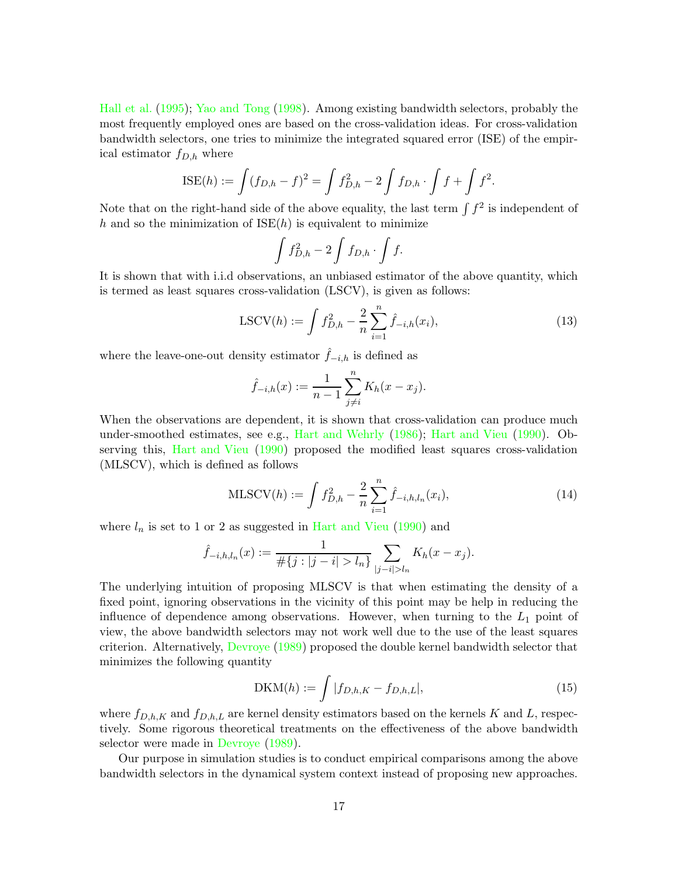[Hall et al.](#page-34-7) [\(1995](#page-34-7)); [Yao and Tong](#page-36-9) [\(1998\)](#page-36-9). Among existing bandwidth selectors, probably the most frequently employed ones are based on the cross-validation ideas. For cross-validation bandwidth selectors, one tries to minimize the integrated squared error (ISE) of the empirical estimator  $f_{D,h}$  where

$$
\text{ISE}(h) := \int (f_{D,h} - f)^2 = \int f_{D,h}^2 - 2 \int f_{D,h} \cdot \int f + \int f^2.
$$

Note that on the right-hand side of the above equality, the last term  $\int f^2$  is independent of h and so the minimization of  $ISE(h)$  is equivalent to minimize

<span id="page-16-0"></span>
$$
\int f_{D,h}^2 - 2 \int f_{D,h} \cdot \int f.
$$

It is shown that with i.i.d observations, an unbiased estimator of the above quantity, which is termed as least squares cross-validation (LSCV), is given as follows:

LSCV(h) := 
$$
\int f_{D,h}^2 - \frac{2}{n} \sum_{i=1}^n \hat{f}_{-i,h}(x_i),
$$
 (13)

where the leave-one-out density estimator  $\hat{f}_{-i,h}$  is defined as

<span id="page-16-1"></span>
$$
\hat{f}_{-i,h}(x) := \frac{1}{n-1} \sum_{j \neq i}^{n} K_h(x - x_j).
$$

When the observations are dependent, it is shown that cross-validation can produce much under-smoothed estimates, see e.g., [Hart and Wehrly](#page-34-13) [\(1986\)](#page-34-13); [Hart and Vieu](#page-34-6) [\(1990](#page-34-6)). Ob-serving this, [Hart and Vieu](#page-34-6) [\(1990](#page-34-6)) proposed the modified least squares cross-validation (MLSCV), which is defined as follows

$$
MLSCV(h) := \int f_{D,h}^2 - \frac{2}{n} \sum_{i=1}^n \hat{f}_{-i,h,l_n}(x_i),
$$
\n(14)

where  $l_n$  is set to 1 or 2 as suggested in [Hart and Vieu](#page-34-6) [\(1990](#page-34-6)) and

$$
\hat{f}_{-i,h,l_n}(x) := \frac{1}{\#\{j : |j - i| > l_n\}} \sum_{|j - i| > l_n} K_h(x - x_j).
$$

The underlying intuition of proposing MLSCV is that when estimating the density of a fixed point, ignoring observations in the vicinity of this point may be help in reducing the influence of dependence among observations. However, when turning to the  $L_1$  point of view, the above bandwidth selectors may not work well due to the use of the least squares criterion. Alternatively, [Devroye](#page-34-2) [\(1989\)](#page-34-2) proposed the double kernel bandwidth selector that minimizes the following quantity

<span id="page-16-2"></span>
$$
DKM(h) := \int |f_{D,h,K} - f_{D,h,L}|,
$$
\n(15)

where  $f_{D,h,K}$  and  $f_{D,h,L}$  are kernel density estimators based on the kernels K and L, respectively. Some rigorous theoretical treatments on the effectiveness of the above bandwidth selector were made in [Devroye](#page-34-2) [\(1989\)](#page-34-2).

Our purpose in simulation studies is to conduct empirical comparisons among the above bandwidth selectors in the dynamical system context instead of proposing new approaches.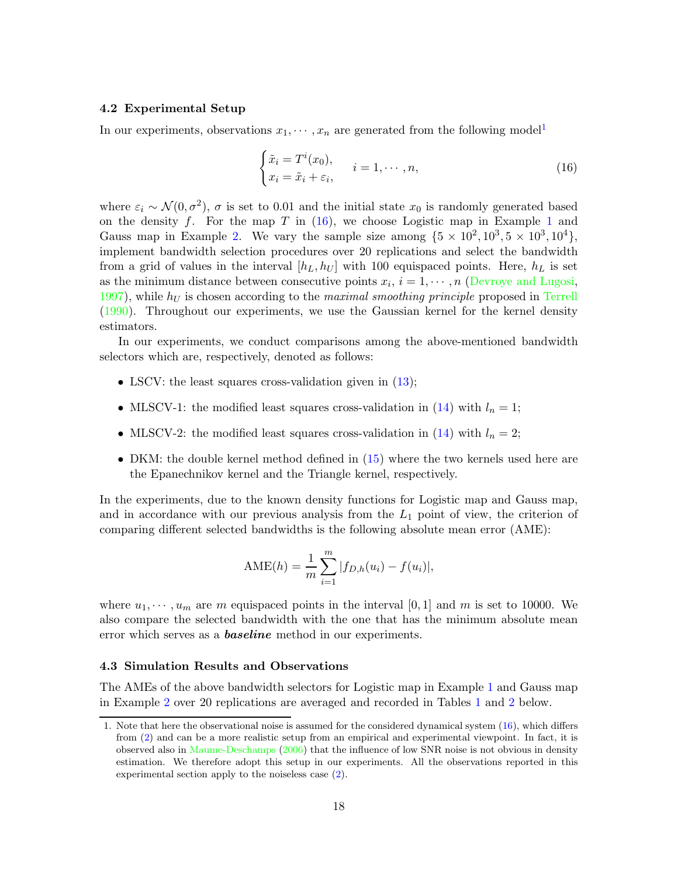### 4.2 Experimental Setup

In our experiments, observations  $x_1, \dots, x_n$  $x_1, \dots, x_n$  $x_1, \dots, x_n$  are generated from the following model<sup>1</sup>

<span id="page-17-1"></span>
$$
\begin{cases} \tilde{x}_i = T^i(x_0), \\ x_i = \tilde{x}_i + \varepsilon_i, \end{cases} \quad i = 1, \cdots, n,
$$
\n(16)

where  $\varepsilon_i \sim \mathcal{N}(0, \sigma^2)$ ,  $\sigma$  is set to 0.01 and the initial state  $x_0$  is randomly generated based on the density f. For the map T in  $(16)$  $(16)$  $(16)$ , we choose Logistic map in Example 1 and Gauss map in Example [2.](#page-4-3) We vary the sample size among  $\{5 \times 10^2, 10^3, 5 \times 10^3, 10^4\}$ , implement bandwidth selection procedures over 20 replications and select the bandwidth from a grid of values in the interval  $[h_L, h_U]$  with 100 equispaced points. Here,  $h_L$  is set as the minimum distance between consecutive points  $x_i$ ,  $i = 1, \dots, n$  [\(Devroye and Lugosi](#page-34-14), [1997\)](#page-34-14), while  $h_U$  is chosen according to the maximal smoothing principle proposed in [Terrell](#page-36-10) [\(1990](#page-36-10)). Throughout our experiments, we use the Gaussian kernel for the kernel density estimators.

In our experiments, we conduct comparisons among the above-mentioned bandwidth selectors which are, respectively, denoted as follows:

- LSCV: the least squares cross-validation given in  $(13)$ ;
- MLSCV-1: the modified least squares cross-validation in [\(14\)](#page-16-1) with  $l_n = 1$ ;
- MLSCV-2: the modified least squares cross-validation in [\(14\)](#page-16-1) with  $l_n = 2$ ;
- DKM: the double kernel method defined in [\(15\)](#page-16-2) where the two kernels used here are the Epanechnikov kernel and the Triangle kernel, respectively.

In the experiments, due to the known density functions for Logistic map and Gauss map, and in accordance with our previous analysis from the  $L_1$  point of view, the criterion of comparing different selected bandwidths is the following absolute mean error (AME):

$$
AME(h) = \frac{1}{m} \sum_{i=1}^{m} |f_{D,h}(u_i) - f(u_i)|,
$$

where  $u_1, \dots, u_m$  are m equispaced points in the interval [0, 1] and m is set to 10000. We also compare the selected bandwidth with the one that has the minimum absolute mean error which serves as a **baseline** method in our experiments.

#### 4.3 Simulation Results and Observations

The AMEs of the above bandwidth selectors for Logistic map in Example [1](#page-4-2) and Gauss map in Example [2](#page-4-3) over 20 replications are averaged and recorded in Tables [1](#page-18-0) and [2](#page-18-1) below.

<span id="page-17-0"></span><sup>1.</sup> Note that here the observational noise is assumed for the considered dynamical system [\(16\)](#page-17-1), which differs from [\(2\)](#page-2-0) and can be a more realistic setup from an empirical and experimental viewpoint. In fact, it is observed also in [Maume-Deschamps](#page-35-13) [\(2006\)](#page-35-13) that the influence of low SNR noise is not obvious in density estimation. We therefore adopt this setup in our experiments. All the observations reported in this experimental section apply to the noiseless case [\(2\)](#page-2-0).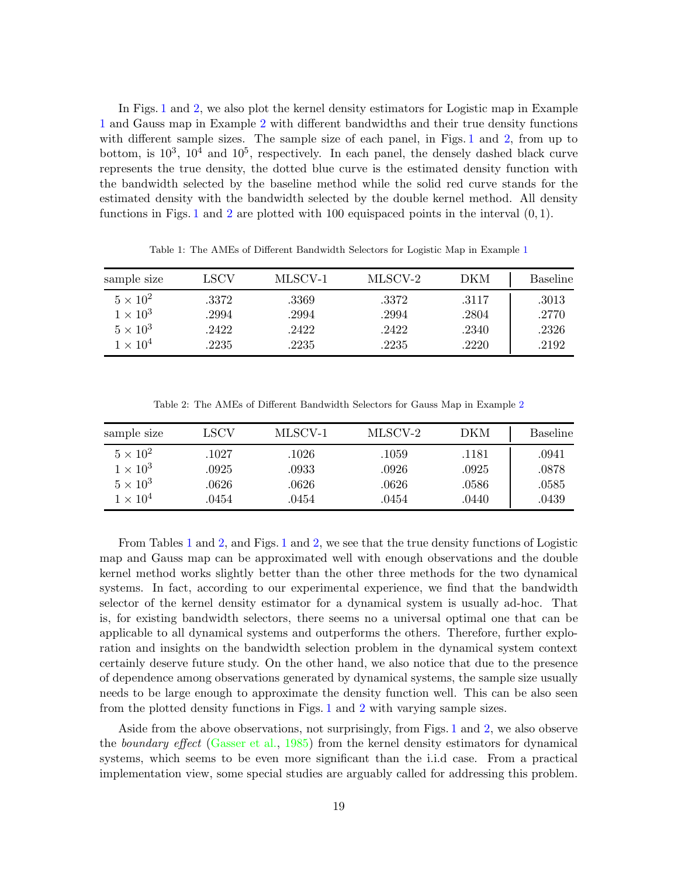In Figs. [1](#page-19-0) and [2,](#page-20-0) we also plot the kernel density estimators for Logistic map in Example [1](#page-4-2) and Gauss map in Example [2](#page-4-3) with different bandwidths and their true density functions with different sample sizes. The sample size of each panel, in Figs. [1](#page-19-0) and [2,](#page-20-0) from up to bottom, is  $10^3$ ,  $10^4$  and  $10^5$ , respectively. In each panel, the densely dashed black curve represents the true density, the dotted blue curve is the estimated density function with the bandwidth selected by the baseline method while the solid red curve stands for the estimated density with the bandwidth selected by the double kernel method. All density functions in Figs. [1](#page-19-0) and [2](#page-20-0) are plotted with 100 equispaced points in the interval  $(0, 1)$ .

<span id="page-18-0"></span>

| sample size     | LSCV  | MLSCV-1 | MLSCV-2 | DKM   | <b>Baseline</b> |
|-----------------|-------|---------|---------|-------|-----------------|
| $5 \times 10^2$ | .3372 | .3369   | .3372   | .3117 | .3013           |
| $1 \times 10^3$ | .2994 | .2994   | .2994   | .2804 | .2770           |
| $5 \times 10^3$ | .2422 | .2422   | .2422   | .2340 | .2326           |
| $1 \times 10^4$ | .2235 | .2235   | .2235   | .2220 | .2192           |

Table 1: The AMEs of Different Bandwidth Selectors for Logistic Map in Example [1](#page-4-2)

Table 2: The AMEs of Different Bandwidth Selectors for Gauss Map in Example [2](#page-4-3)

<span id="page-18-1"></span>

| sample size     | LSCV  | MLSCV-1 | MLSCV-2 | DKM   | <b>Baseline</b> |
|-----------------|-------|---------|---------|-------|-----------------|
| $5 \times 10^2$ | 1027  | .1026   | .1059   | .1181 | .0941           |
| $1 \times 10^3$ | .0925 | .0933   | .0926   | .0925 | .0878           |
| $5 \times 10^3$ | .0626 | .0626   | .0626   | .0586 | .0585           |
| $1 \times 10^4$ | .0454 | .0454   | .0454   | .0440 | .0439           |

From Tables [1](#page-18-0) and [2,](#page-18-1) and Figs. [1](#page-19-0) and [2,](#page-20-0) we see that the true density functions of Logistic map and Gauss map can be approximated well with enough observations and the double kernel method works slightly better than the other three methods for the two dynamical systems. In fact, according to our experimental experience, we find that the bandwidth selector of the kernel density estimator for a dynamical system is usually ad-hoc. That is, for existing bandwidth selectors, there seems no a universal optimal one that can be applicable to all dynamical systems and outperforms the others. Therefore, further exploration and insights on the bandwidth selection problem in the dynamical system context certainly deserve future study. On the other hand, we also notice that due to the presence of dependence among observations generated by dynamical systems, the sample size usually needs to be large enough to approximate the density function well. This can be also seen from the plotted density functions in Figs. [1](#page-19-0) and [2](#page-20-0) with varying sample sizes.

Aside from the above observations, not surprisingly, from Figs. [1](#page-19-0) and [2,](#page-20-0) we also observe the boundary effect [\(Gasser et al.](#page-34-15), [1985](#page-34-15)) from the kernel density estimators for dynamical systems, which seems to be even more significant than the i.i.d case. From a practical implementation view, some special studies are arguably called for addressing this problem.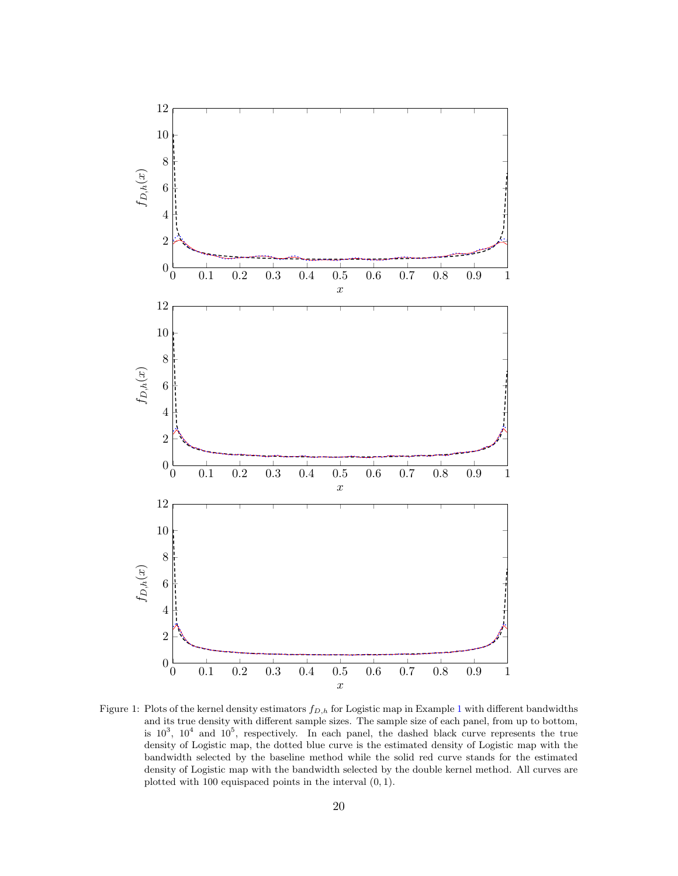<span id="page-19-0"></span>

Figure [1](#page-4-2): Plots of the kernel density estimators  $f_{D,h}$  for Logistic map in Example 1 with different bandwidths and its true density with different sample sizes. The sample size of each panel, from up to bottom, is  $10^3$ ,  $10^4$  and  $10^5$ , respectively. In each panel, the dashed black curve represents the true density of Logistic map, the dotted blue curve is the estimated density of Logistic map with the bandwidth selected by the baseline method while the solid red curve stands for the estimated density of Logistic map with the bandwidth selected by the double kernel method. All curves are plotted with 100 equispaced points in the interval (0, 1).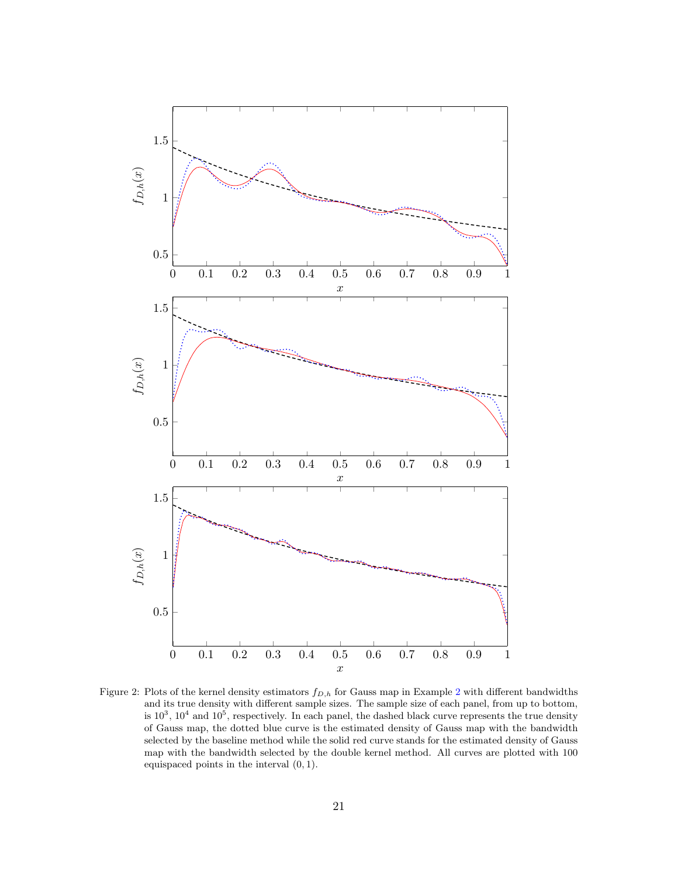<span id="page-20-0"></span>

Figure [2](#page-4-3): Plots of the kernel density estimators  $f_{D,h}$  for Gauss map in Example 2 with different bandwidths and its true density with different sample sizes. The sample size of each panel, from up to bottom, is  $10^3$ ,  $10^4$  and  $10^5$ , respectively. In each panel, the dashed black curve represents the true density of Gauss map, the dotted blue curve is the estimated density of Gauss map with the bandwidth selected by the baseline method while the solid red curve stands for the estimated density of Gauss map with the bandwidth selected by the double kernel method. All curves are plotted with 100 equispaced points in the interval (0, 1).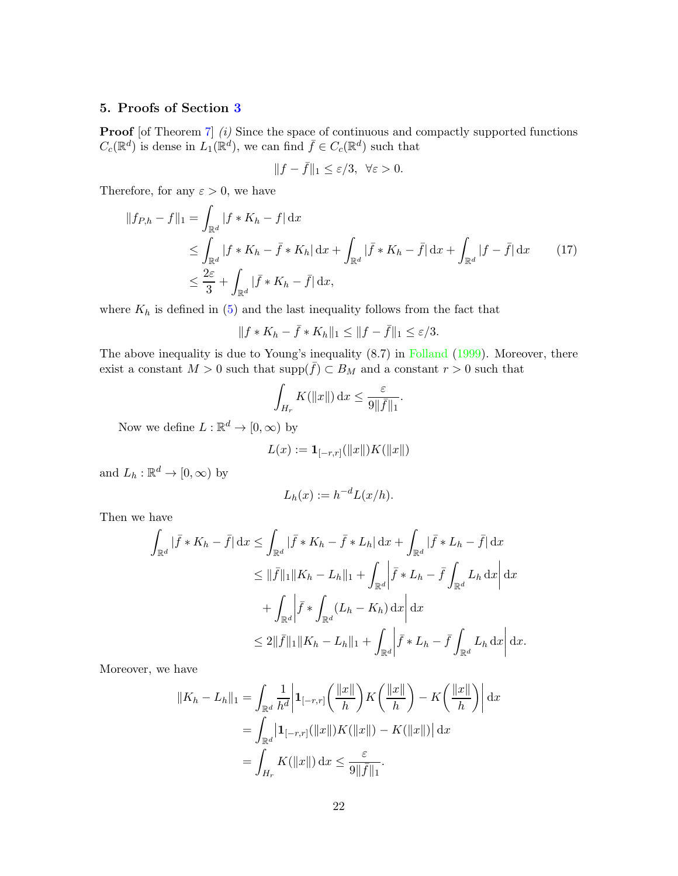## <span id="page-21-0"></span>5. Proofs of Section [3](#page-8-0)

**Proof** [of Theorem [7\]](#page-9-2) (i) Since the space of continuous and compactly supported functions  $C_c(\mathbb{R}^d)$  is dense in  $L_1(\mathbb{R}^d)$ , we can find  $\bar{f} \in C_c(\mathbb{R}^d)$  such that

<span id="page-21-1"></span>
$$
||f - \bar{f}||_1 \le \varepsilon/3, \ \forall \varepsilon > 0.
$$

Therefore, for any  $\varepsilon > 0$ , we have

$$
||f_{P,h} - f||_1 = \int_{\mathbb{R}^d} |f * K_h - f| dx
$$
  
\n
$$
\leq \int_{\mathbb{R}^d} |f * K_h - \bar{f} * K_h| dx + \int_{\mathbb{R}^d} |\bar{f} * K_h - \bar{f}| dx + \int_{\mathbb{R}^d} |f - \bar{f}| dx \qquad (17)
$$
  
\n
$$
\leq \frac{2\varepsilon}{3} + \int_{\mathbb{R}^d} |\bar{f} * K_h - \bar{f}| dx,
$$

where  $K_h$  is defined in [\(5\)](#page-8-3) and the last inequality follows from the fact that

$$
||f * K_h - \bar{f} * K_h||_1 \leq ||f - \bar{f}||_1 \leq \varepsilon/3.
$$

The above inequality is due to Young's inequality  $(8.7)$  in [Folland](#page-34-9)  $(1999)$  $(1999)$ . Moreover, there exist a constant  $M > 0$  such that  $\text{supp}(\bar{f}) \subset B_M$  and a constant  $r > 0$  such that

$$
\int_{H_r} K(||x||) \, \mathrm{d}x \le \frac{\varepsilon}{9||\bar{f}||_1}.
$$

Now we define  $L : \mathbb{R}^d \to [0, \infty)$  by

$$
L(x) := \mathbf{1}_{[-r,r]}(\|x\|)K(\|x\|)
$$

and  $L_h : \mathbb{R}^d \to [0, \infty)$  by

$$
L_h(x) := h^{-d} L(x/h).
$$

Then we have

$$
\int_{\mathbb{R}^d} |\bar{f} * K_h - \bar{f}| \, dx \le \int_{\mathbb{R}^d} |\bar{f} * K_h - \bar{f} * L_h| \, dx + \int_{\mathbb{R}^d} |\bar{f} * L_h - \bar{f}| \, dx
$$
  
\n
$$
\le ||\bar{f}||_1 ||K_h - L_h||_1 + \int_{\mathbb{R}^d} \left| \bar{f} * L_h - \bar{f} \int_{\mathbb{R}^d} L_h \, dx \right| dx
$$
  
\n
$$
+ \int_{\mathbb{R}^d} \left| \bar{f} * \int_{\mathbb{R}^d} (L_h - K_h) \, dx \right| dx
$$
  
\n
$$
\le 2 \|\bar{f}\|_1 ||K_h - L_h||_1 + \int_{\mathbb{R}^d} \left| \bar{f} * L_h - \bar{f} \int_{\mathbb{R}^d} L_h \, dx \right| dx.
$$

Moreover, we have

$$
||K_h - L_h||_1 = \int_{\mathbb{R}^d} \frac{1}{h^d} \left| \mathbf{1}_{[-r,r]} \left( \frac{||x||}{h} \right) K \left( \frac{||x||}{h} \right) - K \left( \frac{||x||}{h} \right) \right| dx
$$
  

$$
= \int_{\mathbb{R}^d} \left| \mathbf{1}_{[-r,r]} (\|x\|) K (\|x\|) - K (\|x\|) \right| dx
$$
  

$$
= \int_{H_r} K(\|x\|) dx \le \frac{\varepsilon}{9\|\bar{f}\|_1}.
$$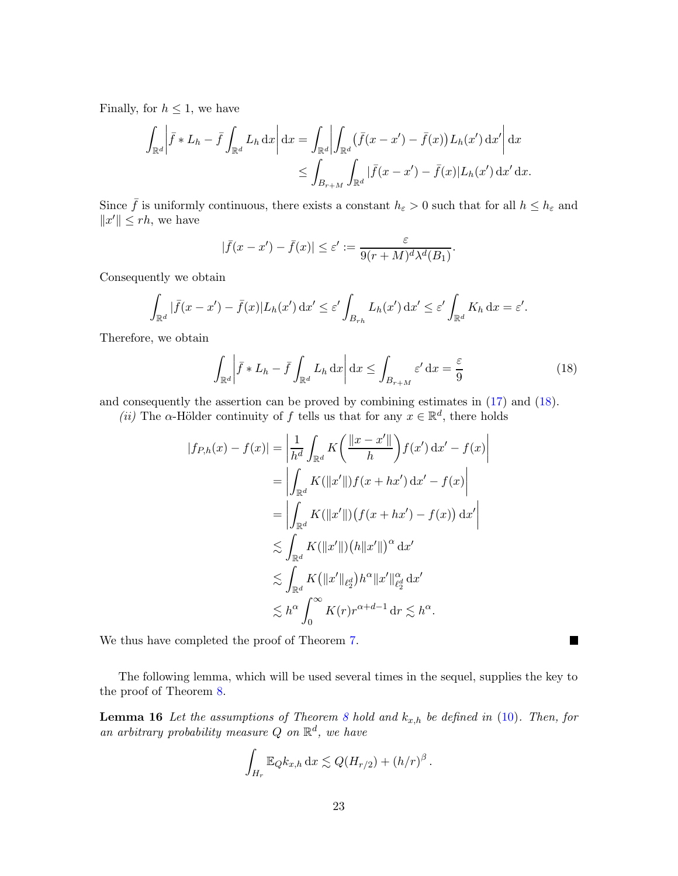Finally, for  $h \leq 1$ , we have

$$
\int_{\mathbb{R}^d} \left| \bar{f} * L_h - \bar{f} \int_{\mathbb{R}^d} L_h \, dx \right| dx = \int_{\mathbb{R}^d} \left| \int_{\mathbb{R}^d} (\bar{f}(x - x') - \bar{f}(x)) L_h(x') \, dx' \right| dx
$$
  

$$
\leq \int_{B_{r+M}} \int_{\mathbb{R}^d} |\bar{f}(x - x') - \bar{f}(x)| L_h(x') \, dx' \, dx.
$$

Since  $\bar{f}$  is uniformly continuous, there exists a constant  $h_{\varepsilon} > 0$  such that for all  $h \leq h_{\varepsilon}$  and  $||x'|| \le rh$ , we have

$$
|\bar{f}(x-x')-\bar{f}(x)| \leq \varepsilon' := \frac{\varepsilon}{9(r+M)^d \lambda^d(B_1)}.
$$

Consequently we obtain

$$
\int_{\mathbb{R}^d} |\bar{f}(x-x') - \bar{f}(x)| L_h(x') \, dx' \le \varepsilon' \int_{B_{rh}} L_h(x') \, dx' \le \varepsilon' \int_{\mathbb{R}^d} K_h \, dx = \varepsilon'.
$$

Therefore, we obtain

$$
\int_{\mathbb{R}^d} \left| \bar{f} * L_h - \bar{f} \int_{\mathbb{R}^d} L_h \, dx \right| dx \le \int_{B_{r+M}} \varepsilon' dx = \frac{\varepsilon}{9}
$$
\n(18)

<span id="page-22-0"></span>П

and consequently the assertion can be proved by combining estimates in [\(17\)](#page-21-1) and [\(18\)](#page-22-0).

(*ii*) The  $\alpha$ -Hölder continuity of f tells us that for any  $x \in \mathbb{R}^d$ , there holds

$$
|f_{P,h}(x) - f(x)| = \left| \frac{1}{h^d} \int_{\mathbb{R}^d} K\left(\frac{\|x - x'\|}{h}\right) f(x') \, dx' - f(x) \right|
$$
  
\n
$$
= \left| \int_{\mathbb{R}^d} K(\|x'\|) f(x + hx') \, dx' - f(x) \right|
$$
  
\n
$$
= \left| \int_{\mathbb{R}^d} K(\|x'\|) \big( f(x + hx') - f(x) \big) \, dx' \right|
$$
  
\n
$$
\lesssim \int_{\mathbb{R}^d} K(\|x'\|) \big( h\|x'\| \big)^{\alpha} \, dx'
$$
  
\n
$$
\lesssim \int_{\mathbb{R}^d} K(\|x'\|_{\ell_2^d}) h^{\alpha} \|x'\|_{\ell_2^d}^{\alpha} \, dx'
$$
  
\n
$$
\lesssim h^{\alpha} \int_0^{\infty} K(r) r^{\alpha + d - 1} \, dr \lesssim h^{\alpha}.
$$

We thus have completed the proof of Theorem [7.](#page-9-2)

<span id="page-22-1"></span>The following lemma, which will be used several times in the sequel, supplies the key to the proof of Theorem [8.](#page-10-0)

**Lemma 16** Let the assumptions of Theorem [8](#page-10-0) hold and  $k_{x,h}$  be defined in [\(10\)](#page-10-1). Then, for an arbitrary probability measure Q on  $\mathbb{R}^d$ , we have

$$
\int_{H_r} \mathbb{E}_{Q} k_{x,h} \, dx \lesssim Q(H_{r/2}) + (h/r)^{\beta}.
$$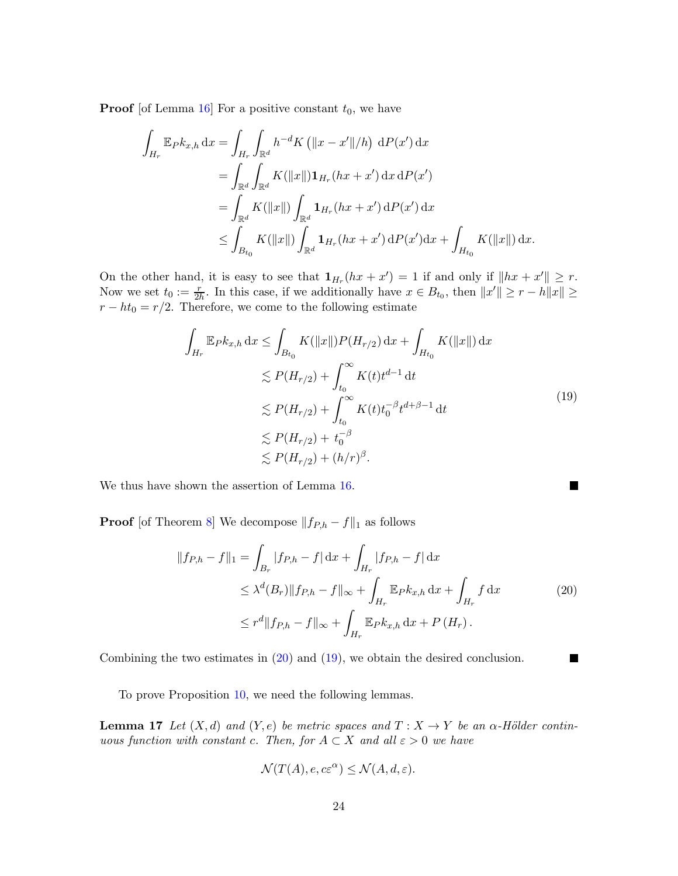**Proof** [of Lemma [16\]](#page-22-1) For a positive constant  $t_0$ , we have

$$
\int_{H_r} \mathbb{E}_{P} k_{x,h} \, dx = \int_{H_r} \int_{\mathbb{R}^d} h^{-d} K \left( \|x - x'\|/h \right) \, dP(x') \, dx
$$
\n
$$
= \int_{\mathbb{R}^d} \int_{\mathbb{R}^d} K(\|x\|) \mathbf{1}_{H_r}(hx + x') \, dx \, dP(x')
$$
\n
$$
= \int_{\mathbb{R}^d} K(\|x\|) \int_{\mathbb{R}^d} \mathbf{1}_{H_r}(hx + x') \, dP(x') \, dx
$$
\n
$$
\leq \int_{B_{t_0}} K(\|x\|) \int_{\mathbb{R}^d} \mathbf{1}_{H_r}(hx + x') \, dP(x') \, dx + \int_{H_{t_0}} K(\|x\|) \, dx.
$$

On the other hand, it is easy to see that  $\mathbf{1}_{H_r}(hx + x') = 1$  if and only if  $||hx + x'|| \geq r$ . Now we set  $t_0 := \frac{r}{2h}$ . In this case, if we additionally have  $x \in B_{t_0}$ , then  $||x'|| \ge r - h||x|| \ge$  $r - ht_0 = r/2$ . Therefore, we come to the following estimate

$$
\int_{H_r} \mathbb{E}_P k_{x,h} \, dx \le \int_{B_{t_0}} K(||x||) P(H_{r/2}) \, dx + \int_{H_{t_0}} K(||x||) \, dx
$$
\n
$$
\lesssim P(H_{r/2}) + \int_{t_0}^{\infty} K(t) t^{d-1} \, dt
$$
\n
$$
\lesssim P(H_{r/2}) + \int_{t_0}^{\infty} K(t) t_0^{-\beta} t^{d+\beta-1} \, dt
$$
\n
$$
\lesssim P(H_{r/2}) + t_0^{-\beta}
$$
\n
$$
\lesssim P(H_{r/2}) + (h/r)^{\beta}.
$$
\n(19)

<span id="page-23-1"></span><span id="page-23-0"></span> $\blacksquare$ 

We thus have shown the assertion of Lemma [16.](#page-22-1)

**Proof** [of Theorem [8\]](#page-10-0) We decompose  $|| f_{P,h} - f ||_1$  as follows

$$
||f_{P,h} - f||_1 = \int_{B_r} |f_{P,h} - f| dx + \int_{H_r} |f_{P,h} - f| dx
$$
  
\n
$$
\leq \lambda^d (B_r) ||f_{P,h} - f||_{\infty} + \int_{H_r} \mathbb{E}_{P} k_{x,h} dx + \int_{H_r} f dx
$$
  
\n
$$
\leq r^d ||f_{P,h} - f||_{\infty} + \int_{H_r} \mathbb{E}_{P} k_{x,h} dx + P(H_r).
$$
\n(20)

Combining the two estimates in [\(20\)](#page-23-0) and [\(19\)](#page-23-1), we obtain the desired conclusion.

<span id="page-23-2"></span>To prove Proposition [10,](#page-11-2) we need the following lemmas.

**Lemma 17** Let  $(X, d)$  and  $(Y, e)$  be metric spaces and  $T : X \to Y$  be an  $\alpha$ -Hölder continuous function with constant c. Then, for  $A \subset X$  and all  $\varepsilon > 0$  we have

$$
\mathcal{N}(T(A), e, c\varepsilon^{\alpha}) \le \mathcal{N}(A, d, \varepsilon).
$$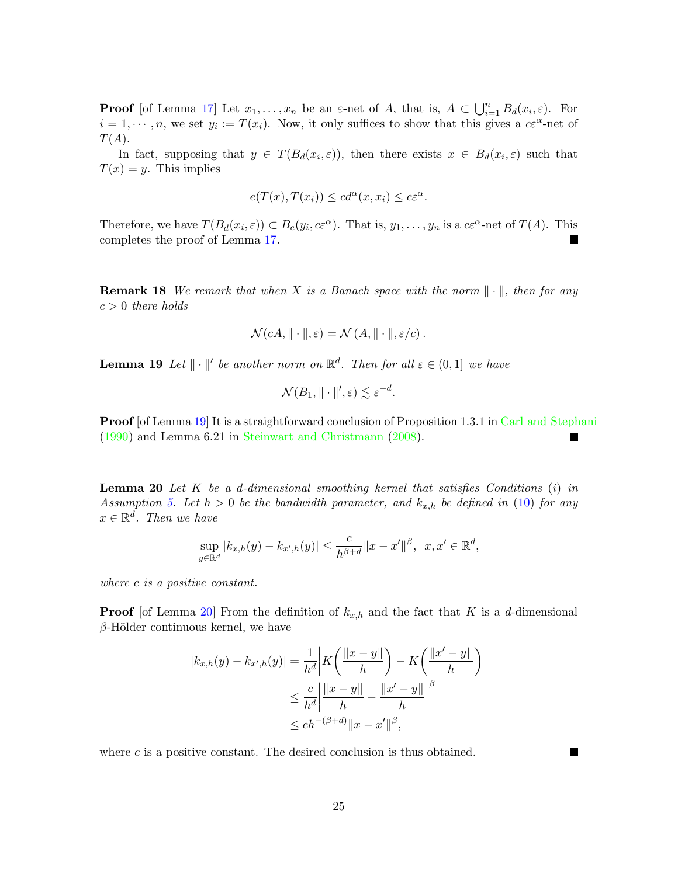**Proof** [of Lemma [17\]](#page-23-2) Let  $x_1, \ldots, x_n$  be an  $\varepsilon$ -net of A, that is,  $A \subset \bigcup_{i=1}^n B_d(x_i, \varepsilon)$ . For  $i = 1, \dots, n$ , we set  $y_i := T(x_i)$ . Now, it only suffices to show that this gives a  $c\epsilon^{\alpha}$ -net of  $T(A).$ 

In fact, supposing that  $y \in T(B_d(x_i, \varepsilon))$ , then there exists  $x \in B_d(x_i, \varepsilon)$  such that  $T(x) = y$ . This implies

$$
e(T(x),T(x_i)) \leq cd^{\alpha}(x,x_i) \leq c\varepsilon^{\alpha}.
$$

Therefore, we have  $T(B_d(x_i, \varepsilon)) \subset B_e(y_i, c\varepsilon^{\alpha})$ . That is,  $y_1, \ldots, y_n$  is a  $c\varepsilon^{\alpha}$ -net of  $T(A)$ . This completes the proof of Lemma [17.](#page-23-2)

**Remark 18** We remark that when X is a Banach space with the norm  $\|\cdot\|$ , then for any  $c > 0$  there holds

$$
\mathcal{N}(cA, \|\cdot\|, \varepsilon) = \mathcal{N}(A, \|\cdot\|, \varepsilon/c).
$$

<span id="page-24-0"></span>**Lemma 19** Let  $\|\cdot\|'$  be another norm on  $\mathbb{R}^d$ . Then for all  $\varepsilon \in (0,1]$  we have

$$
\mathcal{N}(B_1, \|\cdot\|', \varepsilon) \lesssim \varepsilon^{-d}.
$$

**Proof** [of Lemma [19\]](#page-24-0) It is a straightforward conclusion of Proposition 1.3.1 in [Carl and Stephani](#page-34-16) [\(1990](#page-34-16)) and Lemma 6.21 in [Steinwart and Christmann](#page-36-11) [\(2008](#page-36-11)).

<span id="page-24-1"></span>**Lemma 20** Let  $K$  be a d-dimensional smoothing kernel that satisfies Conditions  $(i)$  in Assumption [5.](#page-7-1) Let  $h > 0$  be the bandwidth parameter, and  $k_{x,h}$  be defined in [\(10\)](#page-10-1) for any  $x \in \mathbb{R}^d$ . Then we have

$$
\sup_{y \in \mathbb{R}^d} |k_{x,h}(y) - k_{x',h}(y)| \le \frac{c}{h^{\beta+d}} \|x - x'\|^{\beta}, \ \ x, x' \in \mathbb{R}^d,
$$

where c is a positive constant.

**Proof** [of Lemma [20\]](#page-24-1) From the definition of  $k_{x,h}$  and the fact that K is a d-dimensional  $\beta$ -Hölder continuous kernel, we have

$$
|k_{x,h}(y) - k_{x',h}(y)| = \frac{1}{h^d} \left| K \left( \frac{\|x - y\|}{h} \right) - K \left( \frac{\|x' - y\|}{h} \right) \right|
$$
  

$$
\leq \frac{c}{h^d} \left| \frac{\|x - y\|}{h} - \frac{\|x' - y\|}{h} \right|^\beta
$$
  

$$
\leq ch^{-(\beta + d)} \|x - x'\|^\beta,
$$

where  $c$  is a positive constant. The desired conclusion is thus obtained.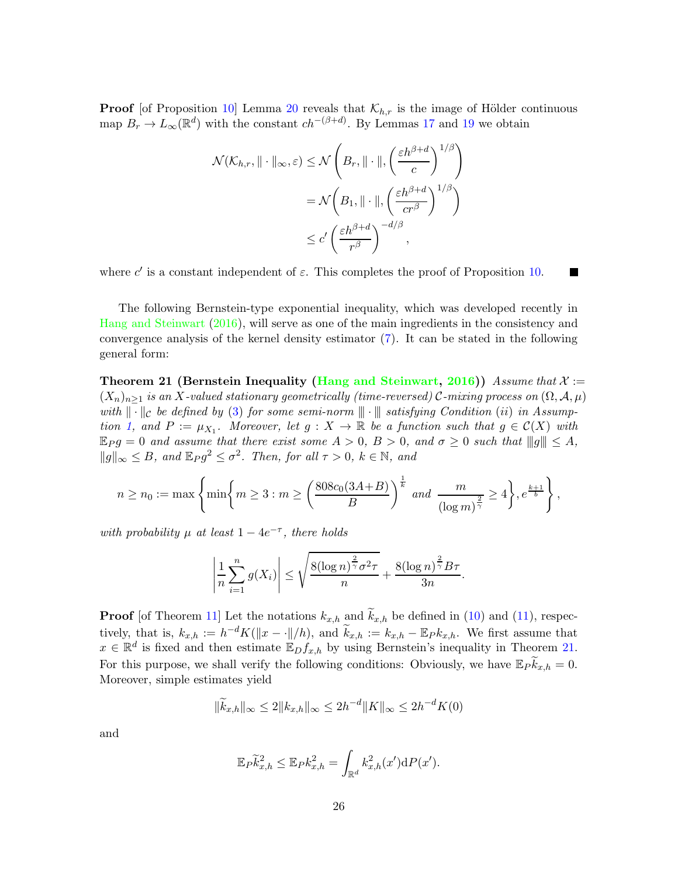**Proof** [of Proposition [10\]](#page-11-2) Lemma [20](#page-24-1) reveals that  $\mathcal{K}_{h,r}$  is the image of Hölder continuous map  $B_r \to L_\infty(\mathbb{R}^d)$  with the constant  $ch^{-(\beta+d)}$ . By Lemmas [17](#page-23-2) and [19](#page-24-0) we obtain

$$
\mathcal{N}(\mathcal{K}_{h,r}, \|\cdot\|_{\infty}, \varepsilon) \le \mathcal{N}\left(B_r, \|\cdot\|, \left(\frac{\varepsilon h^{\beta+d}}{c}\right)^{1/\beta}\right)
$$

$$
= \mathcal{N}\left(B_1, \|\cdot\|, \left(\frac{\varepsilon h^{\beta+d}}{cr^{\beta}}\right)^{1/\beta}\right)
$$

$$
\le c' \left(\frac{\varepsilon h^{\beta+d}}{r^{\beta}}\right)^{-d/\beta},
$$

where  $c'$  is a constant independent of  $\varepsilon$ . This completes the proof of Proposition [10.](#page-11-2)

The following Bernstein-type exponential inequality, which was developed recently in [Hang and Steinwart](#page-34-1) [\(2016](#page-34-1)), will serve as one of the main ingredients in the consistency and convergence analysis of the kernel density estimator [\(7\)](#page-8-2). It can be stated in the following general form:

<span id="page-25-0"></span>**Theorem 21 (Bernstein Inequality [\(Hang and Steinwart](#page-34-1), [2016](#page-34-1)))** Assume that  $\mathcal{X} :=$  $(X_n)_{n\geq 1}$  is an X-valued stationary geometrically (time-reversed) C-mixing process on  $(\Omega, \mathcal{A}, \mu)$ with  $\|\cdot\|_{\mathcal{C}}$  be defined by [\(3\)](#page-5-1) for some semi-norm  $\|\cdot\|$  satisfying Condition (ii) in Assump-tion [1,](#page-5-0) and  $P := \mu_{X_1}$ . Moreover, let  $g : X \to \mathbb{R}$  be a function such that  $g \in C(X)$  with  $\mathbb{E}_P g = 0$  and assume that there exist some  $A > 0$ ,  $B > 0$ , and  $\sigma \geq 0$  such that  $||g|| \leq A$ ,  $||g||_{\infty} \leq B$ , and  $\mathbb{E}_P g^2 \leq \sigma^2$ . Then, for all  $\tau > 0$ ,  $k \in \mathbb{N}$ , and

$$
n \ge n_0 := \max\left\{\min\left\{m \ge 3 : m \ge \left(\frac{808c_0(3A+B)}{B}\right)^{\frac{1}{k}} \text{ and } \frac{m}{(\log m)^{\frac{2}{\gamma}}} \ge 4\right\}, e^{\frac{k+1}{b}}\right\},\right\}
$$

with probability  $\mu$  at least  $1 - 4e^{-\tau}$ , there holds

$$
\left|\frac{1}{n}\sum_{i=1}^n g(X_i)\right| \le \sqrt{\frac{8(\log n)^{\frac{2}{\gamma}}\sigma^2\tau}{n}} + \frac{8(\log n)^{\frac{2}{\gamma}}B\tau}{3n}.
$$

**Proof** [of Theorem [11\]](#page-11-0) Let the notations  $k_{x,h}$  and  $\widetilde{k}_{x,h}$  be defined in [\(10\)](#page-10-1) and [\(11\)](#page-10-2), respectively, that is,  $k_{x,h} := h^{-d}K(||x - \cdot||/h)$ , and  $\widetilde{k}_{x,h} := k_{x,h} - \mathbb{E}_P k_{x,h}$ . We first assume that  $x \in \mathbb{R}^d$  is fixed and then estimate  $\mathbb{E}_D f_{x,h}$  by using Bernstein's inequality in Theorem [21.](#page-25-0) For this purpose, we shall verify the following conditions: Obviously, we have  $\mathbb{E}_P \widetilde{k}_{x,h} = 0$ . Moreover, simple estimates yield

$$
\|\widetilde{k}_{x,h}\|_{\infty} \le 2\|k_{x,h}\|_{\infty} \le 2h^{-d} \|K\|_{\infty} \le 2h^{-d} K(0)
$$

and

$$
\mathbb{E}_P \widetilde{k}_{x,h}^2 \leq \mathbb{E}_P k_{x,h}^2 = \int_{\mathbb{R}^d} k_{x,h}^2(x') \mathrm{d}P(x').
$$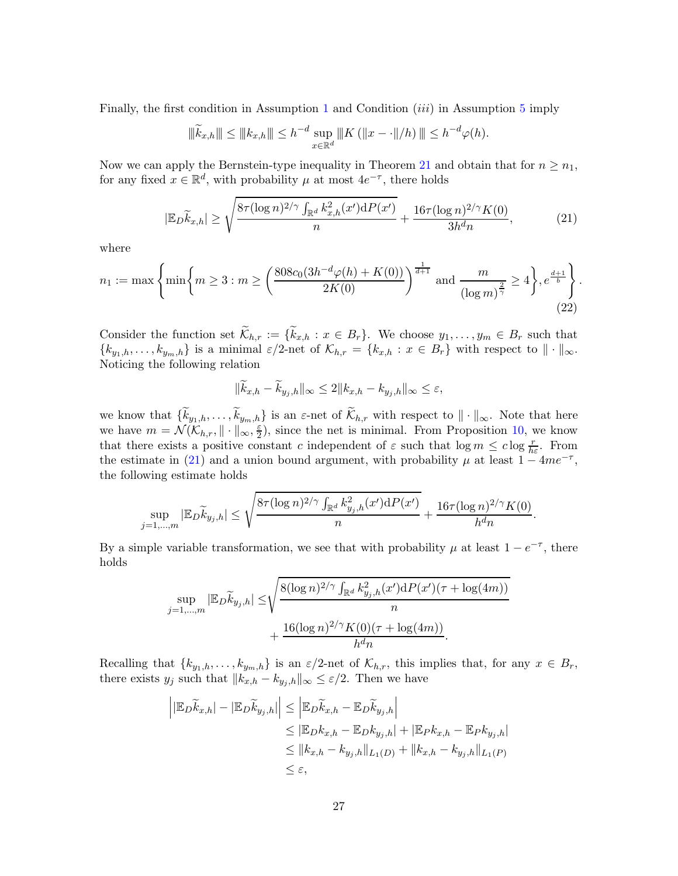Finally, the first condition in Assumption [1](#page-5-0) and Condition  $(iii)$  in Assumption [5](#page-7-1) imply

$$
\|\widetilde{k}_{x,h}\| \leq \|k_{x,h}\| \leq h^{-d} \sup_{x \in \mathbb{R}^d} \|K (||x - \cdot||/h) \| \leq h^{-d} \varphi(h).
$$

Now we can apply the Bernstein-type inequality in Theorem [21](#page-25-0) and obtain that for  $n \geq n_1$ , for any fixed  $x \in \mathbb{R}^d$ , with probability  $\mu$  at most  $4e^{-\tau}$ , there holds

$$
|\mathbb{E}_{D}\widetilde{k}_{x,h}| \ge \sqrt{\frac{8\tau(\log n)^{2/\gamma} \int_{\mathbb{R}^d} k_{x,h}^2(x')dP(x')}{n}} + \frac{16\tau(\log n)^{2/\gamma}K(0)}{3h^dn},\tag{21}
$$

where

$$
n_1 := \max\left\{\min\left\{m \ge 3 : m \ge \left(\frac{808c_0(3h^{-d}\varphi(h) + K(0))}{2K(0)}\right)^{\frac{1}{d+1}} \text{ and } \frac{m}{(\log m)^{\frac{2}{\gamma}}} \ge 4\right\}, e^{\frac{d+1}{b}}\right\}.
$$
\n(22)

Consider the function set  $\mathcal{K}_{h,r} := \{k_{x,h} : x \in B_r\}$ . We choose  $y_1, \ldots, y_m \in B_r$  such that  $\{k_{y_1,h},\ldots,k_{y_m,h}\}\$ is a minimal  $\varepsilon/2$ -net of  $\mathcal{K}_{h,r} = \{k_{x,h} : x \in B_r\}$  with respect to  $\|\cdot\|_{\infty}$ . Noticing the following relation

<span id="page-26-0"></span>
$$
\|\widetilde{k}_{x,h} - \widetilde{k}_{y_j,h}\|_{\infty} \le 2\|k_{x,h} - k_{y_j,h}\|_{\infty} \le \varepsilon,
$$

we know that  $\{k_{y_1,h},\ldots,k_{y_m,h}\}$  is an  $\varepsilon$ -net of  $\mathcal{K}_{h,r}$  with respect to  $\|\cdot\|_{\infty}$ . Note that here we have  $m = \mathcal{N}(\mathcal{K}_{h,r}, \|\cdot\|_{\infty}, \frac{\varepsilon}{2})$  $\frac{\varepsilon}{2}$ , since the net is minimal. From Proposition [10,](#page-11-2) we know that there exists a positive constant c independent of  $\varepsilon$  such that  $\log m \leq c \log \frac{r}{h \varepsilon}$ . From the estimate in [\(21\)](#page-26-0) and a union bound argument, with probability  $\mu$  at least  $1 - 4me^{-\tau}$ , the following estimate holds

$$
\sup_{j=1,...,m} |\mathbb{E}_{D} \widetilde{k}_{y_{j},h}| \leq \sqrt{\frac{8\tau (\log n)^{2/\gamma} \int_{\mathbb{R}^{d}} k_{y_{j},h}^{2}(x') dP(x')}{n}} + \frac{16\tau (\log n)^{2/\gamma} K(0)}{h^{d}n}.
$$

By a simple variable transformation, we see that with probability  $\mu$  at least  $1 - e^{-\tau}$ , there holds

$$
\sup_{j=1,\dots,m} |\mathbb{E}_D \widetilde{k}_{y_j,h}| \le \sqrt{\frac{8(\log n)^{2/\gamma} \int_{\mathbb{R}^d} k_{y_j,h}^2(x') dP(x') (\tau + \log(4m))}{n} + \frac{16(\log n)^{2/\gamma} K(0)(\tau + \log(4m))}{h^d n}}.
$$

Recalling that  $\{k_{y_1,h},\ldots,k_{y_m,h}\}\$ is an  $\varepsilon/2$ -net of  $\mathcal{K}_{h,r}$ , this implies that, for any  $x \in B_r$ , there exists  $y_j$  such that  $||k_{x,h} - k_{y_j,h}||_{\infty} \leq \varepsilon/2$ . Then we have

$$
\begin{aligned} \left| \left| \mathbb{E}_{D} \widetilde{k}_{x,h} \right| - \left| \mathbb{E}_{D} \widetilde{k}_{y,j,h} \right| \right| &\leq \left| \mathbb{E}_{D} \widetilde{k}_{x,h} - \mathbb{E}_{D} \widetilde{k}_{y,j,h} \right| \\ &\leq \left| \mathbb{E}_{D} k_{x,h} - \mathbb{E}_{D} k_{y,j,h} \right| + \left| \mathbb{E}_{P} k_{x,h} - \mathbb{E}_{P} k_{y,j,h} \right| \\ &\leq \left| k_{x,h} - k_{y,j,h} \right| \left| L_1(D) + \left| k_{x,h} - k_{y,j,h} \right| \right| L_1(P) \\ &\leq \varepsilon, \end{aligned}
$$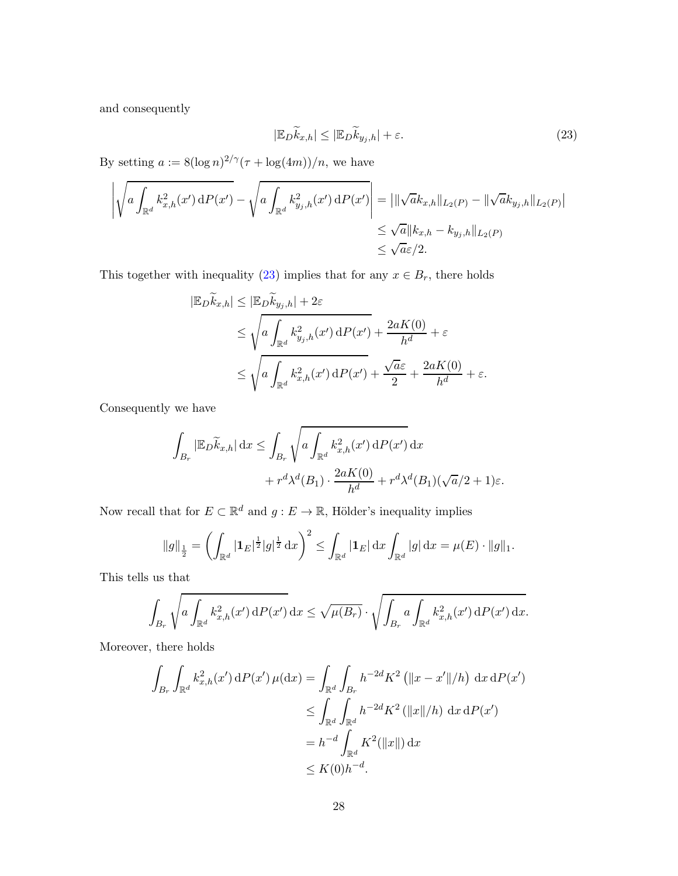and consequently

<span id="page-27-0"></span>
$$
|\mathbb{E}_D \widetilde{k}_{x,h}| \le |\mathbb{E}_D \widetilde{k}_{y,j,h}| + \varepsilon. \tag{23}
$$

By setting  $a := 8(\log n)^{2/\gamma}(\tau + \log(4m))/n$ , we have

$$
\left| \sqrt{a \int_{\mathbb{R}^d} k_{x,h}^2(x') dP(x')} - \sqrt{a \int_{\mathbb{R}^d} k_{y_j,h}^2(x') dP(x')} \right| = \left| \|\sqrt{a}k_{x,h}\|_{L_2(P)} - \|\sqrt{a}k_{y_j,h}\|_{L_2(P)} \right|
$$
  

$$
\leq \sqrt{a} \|k_{x,h} - k_{y_j,h}\|_{L_2(P)}
$$
  

$$
\leq \sqrt{a}\epsilon/2.
$$

This together with inequality [\(23\)](#page-27-0) implies that for any  $x \in B_r$ , there holds

$$
|\mathbb{E}_{D}\widetilde{k}_{x,h}| \leq |\mathbb{E}_{D}\widetilde{k}_{y,j,h}| + 2\varepsilon
$$
  
\n
$$
\leq \sqrt{a \int_{\mathbb{R}^d} k_{y,j,h}^2(x') dP(x') + \frac{2aK(0)}{h^d} + \varepsilon}
$$
  
\n
$$
\leq \sqrt{a \int_{\mathbb{R}^d} k_{x,h}^2(x') dP(x') + \frac{\sqrt{a}\varepsilon}{2} + \frac{2aK(0)}{h^d} + \varepsilon}.
$$

Consequently we have

$$
\int_{B_r} |\mathbb{E}_D \widetilde{k}_{x,h}| \,dx \le \int_{B_r} \sqrt{a \int_{\mathbb{R}^d} k_{x,h}^2(x') \,dP(x')}\,dx
$$

$$
+ r^d \lambda^d(B_1) \cdot \frac{2aK(0)}{h^d} + r^d \lambda^d(B_1)(\sqrt{a}/2 + 1)\varepsilon.
$$

Now recall that for  $E \subset \mathbb{R}^d$  and  $g: E \to \mathbb{R}$ , Hölder's inequality implies

$$
\|g\|_{\frac{1}{2}} = \left(\int_{\mathbb{R}^d} |\mathbf{1}_E|^{\frac{1}{2}} |g|^{\frac{1}{2}} \, \mathrm{d}x\right)^2 \le \int_{\mathbb{R}^d} |\mathbf{1}_E| \, \mathrm{d}x \int_{\mathbb{R}^d} |g| \, \mathrm{d}x = \mu(E) \cdot \|g\|_1.
$$

This tells us that

$$
\int_{B_r} \sqrt{a \int_{\mathbb{R}^d} k_{x,h}^2(x') dP(x')} dx \le \sqrt{\mu(B_r)} \cdot \sqrt{\int_{B_r} a \int_{\mathbb{R}^d} k_{x,h}^2(x') dP(x') dx}.
$$

Moreover, there holds

$$
\int_{B_r} \int_{\mathbb{R}^d} k_{x,h}^2(x') \, dP(x') \, \mu(dx) = \int_{\mathbb{R}^d} \int_{B_r} h^{-2d} K^2 \left( \|x - x'\|/h \right) \, dx \, dP(x')
$$
\n
$$
\leq \int_{\mathbb{R}^d} \int_{\mathbb{R}^d} h^{-2d} K^2 \left( \|x\|/h \right) \, dx \, dP(x')
$$
\n
$$
= h^{-d} \int_{\mathbb{R}^d} K^2 (\|x\|) \, dx
$$
\n
$$
\leq K(0) h^{-d}.
$$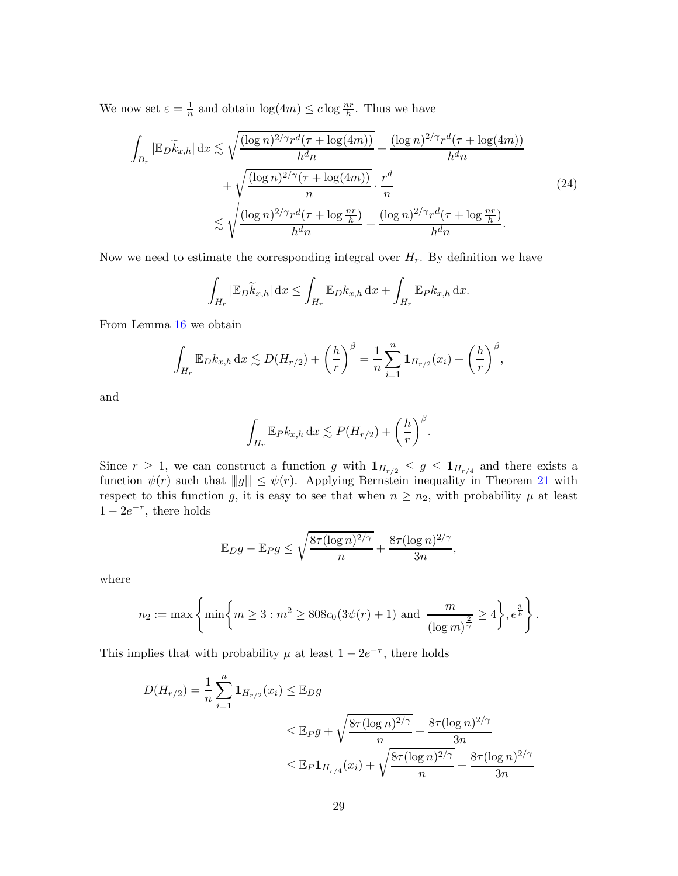We now set  $\varepsilon = \frac{1}{n}$  $\frac{1}{n}$  and obtain  $\log(4m) \leq c \log \frac{nr}{h}$ . Thus we have

$$
\int_{B_r} |\mathbb{E}_D \widetilde{k}_{x,h}| \, dx \lesssim \sqrt{\frac{(\log n)^{2/\gamma} r^d (\tau + \log(4m))}{h^d n}} + \frac{(\log n)^{2/\gamma} r^d (\tau + \log(4m))}{h^d n} + \sqrt{\frac{(\log n)^{2/\gamma} (\tau + \log(4m))}{n}} \cdot \frac{r^d}{n} \lesssim \sqrt{\frac{(\log n)^{2/\gamma} r^d (\tau + \log \frac{nr}{h})}{h^d n}} + \frac{(\log n)^{2/\gamma} r^d (\tau + \log \frac{nr}{h})}{h^d n}.
$$
\n(24)

Now we need to estimate the corresponding integral over  $H_r$ . By definition we have

<span id="page-28-0"></span>
$$
\int_{H_r} |\mathbb{E}_D \widetilde{k}_{x,h}| \,dx \le \int_{H_r} \mathbb{E}_D k_{x,h} \,dx + \int_{H_r} \mathbb{E}_P k_{x,h} \,dx.
$$

From Lemma [16](#page-22-1) we obtain

$$
\int_{H_r} \mathbb{E}_{D} k_{x,h} \, dx \lesssim D(H_{r/2}) + \left(\frac{h}{r}\right)^{\beta} = \frac{1}{n} \sum_{i=1}^n \mathbf{1}_{H_{r/2}}(x_i) + \left(\frac{h}{r}\right)^{\beta},
$$

and

$$
\int_{H_r} \mathbb{E}_P k_{x,h} \, dx \lesssim P(H_{r/2}) + \left(\frac{h}{r}\right)^{\beta}.
$$

Since  $r \geq 1$ , we can construct a function g with  $1_{H_{r/2}} \leq g \leq 1_{H_{r/4}}$  and there exists a function  $\psi(r)$  such that  $||g|| \leq \psi(r)$ . Applying Bernstein inequality in Theorem [21](#page-25-0) with respect to this function g, it is easy to see that when  $n \geq n_2$ , with probability  $\mu$  at least  $1 - 2e^{-\tau}$ , there holds

$$
\mathbb{E}_D g - \mathbb{E}_P g \le \sqrt{\frac{8\tau(\log n)^{2/\gamma}}{n}} + \frac{8\tau(\log n)^{2/\gamma}}{3n},
$$

where

$$
n_2 := \max \left\{ \min \left\{ m \geq 3 : m^2 \geq 808c_0(3\psi(r) + 1) \text{ and } \frac{m}{(\log m)^{\frac{2}{\gamma}}} \geq 4 \right\}, e^{\frac{3}{b}} \right\}.
$$

This implies that with probability  $\mu$  at least  $1 - 2e^{-\tau}$ , there holds

$$
D(H_{r/2}) = \frac{1}{n} \sum_{i=1}^{n} \mathbf{1}_{H_{r/2}}(x_i) \leq \mathbb{E}_D g
$$
  

$$
\leq \mathbb{E}_P g + \sqrt{\frac{8\tau(\log n)^{2/\gamma}}{n} + \frac{8\tau(\log n)^{2/\gamma}}{3n}}
$$
  

$$
\leq \mathbb{E}_P \mathbf{1}_{H_{r/4}}(x_i) + \sqrt{\frac{8\tau(\log n)^{2/\gamma}}{n} + \frac{8\tau(\log n)^{2/\gamma}}{3n}}
$$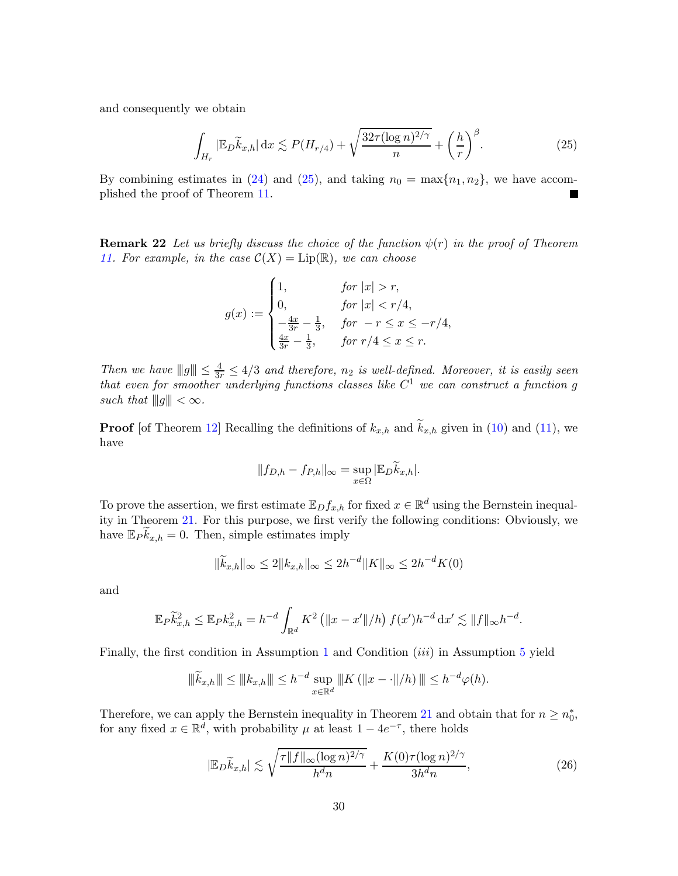and consequently we obtain

<span id="page-29-0"></span>
$$
\int_{H_r} |\mathbb{E}_D \widetilde{k}_{x,h}| \, dx \lesssim P(H_{r/4}) + \sqrt{\frac{32\tau (\log n)^{2/\gamma}}{n}} + \left(\frac{h}{r}\right)^{\beta}.
$$
\n(25)

By combining estimates in [\(24\)](#page-28-0) and [\(25\)](#page-29-0), and taking  $n_0 = \max\{n_1, n_2\}$ , we have accomplished the proof of Theorem [11.](#page-11-0)

**Remark 22** Let us briefly discuss the choice of the function  $\psi(r)$  in the proof of Theorem [11.](#page-11-0) For example, in the case  $\mathcal{C}(X) = \text{Lip}(\mathbb{R})$ , we can choose

$$
g(x) := \begin{cases} 1, & \text{for } |x| > r, \\ 0, & \text{for } |x| < r/4, \\ -\frac{4x}{3r} - \frac{1}{3}, & \text{for } -r \le x \le -r/4, \\ \frac{4x}{3r} - \frac{1}{3}, & \text{for } r/4 \le x \le r. \end{cases}
$$

Then we have  $||g|| \leq \frac{4}{3r} \leq 4/3$  and therefore,  $n_2$  is well-defined. Moreover, it is easily seen that even for smoother underlying functions classes like  $C^1$  we can construct a function g such that  $||g|| < \infty$ .

**Proof** [of Theorem [12\]](#page-12-0) Recalling the definitions of  $k_{x,h}$  and  $\widetilde{k}_{x,h}$  given in [\(10\)](#page-10-1) and [\(11\)](#page-10-2), we have

$$
||f_{D,h} - f_{P,h}||_{\infty} = \sup_{x \in \Omega} |\mathbb{E}_D \widetilde{k}_{x,h}|.
$$

To prove the assertion, we first estimate  $\mathbb{E}_D f_{x,h}$  for fixed  $x \in \mathbb{R}^d$  using the Bernstein inequality in Theorem [21.](#page-25-0) For this purpose, we first verify the following conditions: Obviously, we have  $\mathbb{E}_P \widetilde{k}_{x,h} = 0$ . Then, simple estimates imply

$$
\|\widetilde{k}_{x,h}\|_{\infty} \le 2\|k_{x,h}\|_{\infty} \le 2h^{-d} \|K\|_{\infty} \le 2h^{-d} K(0)
$$

and

$$
\mathbb{E}_{P} \widetilde{k}_{x,h}^{2} \leq \mathbb{E}_{P} k_{x,h}^{2} = h^{-d} \int_{\mathbb{R}^{d}} K^{2} (\|x - x'\|/h) f(x')h^{-d} dx' \lesssim \|f\|_{\infty} h^{-d}.
$$

Finally, the first condition in Assumption [1](#page-5-0) and Condition *(iii)* in Assumption [5](#page-7-1) yield

$$
\|\widetilde{k}_{x,h}\| \le \|k_{x,h}\| \le h^{-d} \sup_{x \in \mathbb{R}^d} \|K (||x - \cdot||/h) \| \le h^{-d} \varphi(h).
$$

Therefore, we can apply the Bernstein inequality in Theorem [21](#page-25-0) and obtain that for  $n \geq n_0^*$ , for any fixed  $x \in \mathbb{R}^d$ , with probability  $\mu$  at least  $1 - 4e^{-\tau}$ , there holds

<span id="page-29-1"></span>
$$
|\mathbb{E}_D \widetilde{k}_{x,h}| \lesssim \sqrt{\frac{\tau \|f\|_{\infty} (\log n)^{2/\gamma}}{h^d n}} + \frac{K(0)\tau (\log n)^{2/\gamma}}{3h^d n},\tag{26}
$$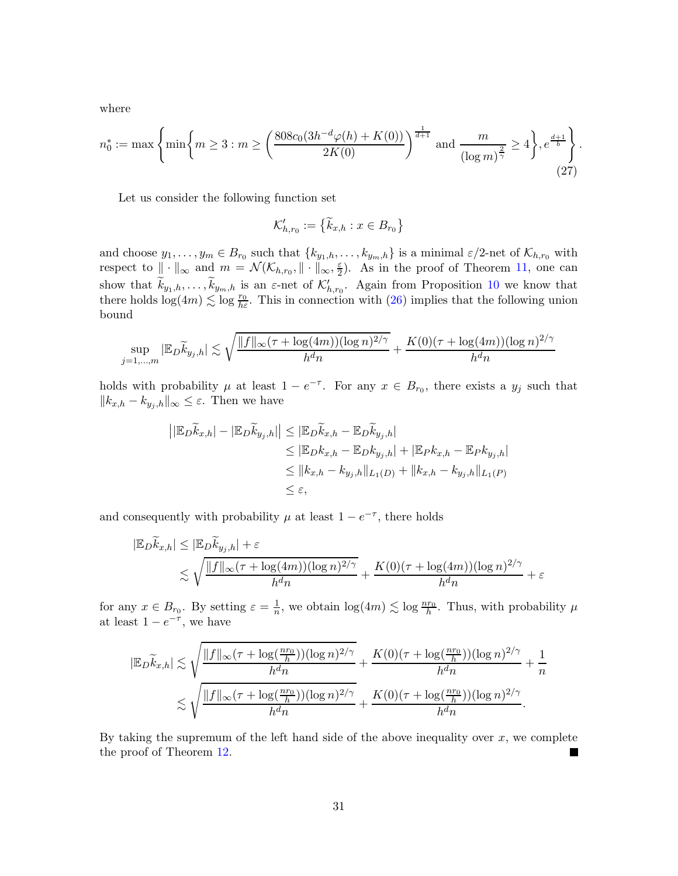where

$$
n_0^* := \max\left\{\min\left\{m \ge 3 : m \ge \left(\frac{808c_0(3h^{-d}\varphi(h) + K(0))}{2K(0)}\right)^{\frac{1}{d+1}} \text{ and } \frac{m}{(\log m)^{\frac{2}{\gamma}}} \ge 4\right\}, e^{\frac{d+1}{b}}\right\}.
$$
\n(27)

Let us consider the following function set

$$
\mathcal{K}_{h,r_0}':=\left\{\widetilde{k}_{x,h}:x\in B_{r_0}\right\}
$$

and choose  $y_1, \ldots, y_m \in B_{r_0}$  such that  $\{k_{y_1,h}, \ldots, k_{y_m,h}\}$  is a minimal  $\varepsilon/2$ -net of  $\mathcal{K}_{h,r_0}$  with respect to  $\|\cdot\|_{\infty}$  and  $m = \mathcal{N}(\mathcal{K}_{h,r_0}, \|\cdot\|_{\infty}, \frac{\varepsilon}{2})$  $\frac{\varepsilon}{2}$ ). As in the proof of Theorem [11,](#page-11-0) one can show that  $\tilde{k}_{y_1,h},\ldots,\tilde{k}_{y_m,h}$  is an  $\varepsilon$ -net of  $\mathcal{K}'_{h,r_0}$ . Again from Proposition [10](#page-11-2) we know that there holds  $\log(4m) \lesssim \log \frac{r_0}{h \varepsilon}$ . This in connection with [\(26\)](#page-29-1) implies that the following union bound

$$
\sup_{j=1,\dots,m} |\mathbb{E}_D \widetilde{k}_{y_j,h}| \lesssim \sqrt{\frac{\|f\|_{\infty} (\tau + \log(4m))(\log n)^{2/\gamma}}{h^dn}} + \frac{K(0)(\tau + \log(4m))(\log n)^{2/\gamma}}{h^dn}
$$

holds with probability  $\mu$  at least  $1 - e^{-\tau}$ . For any  $x \in B_{r_0}$ , there exists a  $y_j$  such that  $||k_{x,h} - k_{y_i,h}||_{\infty} \leq \varepsilon$ . Then we have

$$
\begin{aligned} \left| \left| \mathbb{E}_{D} \widetilde{k}_{x,h} \right| - \left| \mathbb{E}_{D} \widetilde{k}_{y,j,h} \right| \right| &\leq \left| \mathbb{E}_{D} \widetilde{k}_{x,h} - \mathbb{E}_{D} \widetilde{k}_{y,j,h} \right| \\ &\leq \left| \mathbb{E}_{D} k_{x,h} - \mathbb{E}_{D} k_{y,j,h} \right| + \left| \mathbb{E}_{P} k_{x,h} - \mathbb{E}_{P} k_{y,j,h} \right| \\ &\leq \left| k_{x,h} - k_{y,j,h} \right|_{L_1(D)} + \left| k_{x,h} - k_{y,j,h} \right|_{L_1(P)} \\ &\leq \varepsilon, \end{aligned}
$$

and consequently with probability  $\mu$  at least  $1 - e^{-\tau}$ , there holds

$$
|\mathbb{E}_{D}\widetilde{k}_{x,h}| \leq |\mathbb{E}_{D}\widetilde{k}_{y,j,h}| + \varepsilon
$$
  
\$\lesssim \sqrt{\frac{\|f\|\_{\infty}(\tau + \log(4m))(\log n)^{2/\gamma}}{h^{d}n} + \frac{K(0)(\tau + \log(4m))(\log n)^{2/\gamma}}{h^{d}n} + \varepsilon}\$

for any  $x \in B_{r_0}$ . By setting  $\varepsilon = \frac{1}{n}$ , we obtain  $\log(4m) \lesssim \log \frac{nr_0}{h}$ . Thus, with probability  $\mu$ at least  $1 - e^{-\tau}$ , we have

$$
|\mathbb{E}_D \widetilde{k}_{x,h}| \lesssim \sqrt{\frac{\|f\|_{\infty} (\tau + \log(\frac{nr_0}{h}))(\log n)^{2/\gamma}}{h^dn}} + \frac{K(0)(\tau + \log(\frac{nr_0}{h}))(\log n)^{2/\gamma}}{h^dn} + \frac{1}{n}
$$
  

$$
\lesssim \sqrt{\frac{\|f\|_{\infty} (\tau + \log(\frac{nr_0}{h}))(\log n)^{2/\gamma}}{h^dn}} + \frac{K(0)(\tau + \log(\frac{nr_0}{h}))(\log n)^{2/\gamma}}{h^dn}.
$$

By taking the supremum of the left hand side of the above inequality over  $x$ , we complete the proof of Theorem [12.](#page-12-0)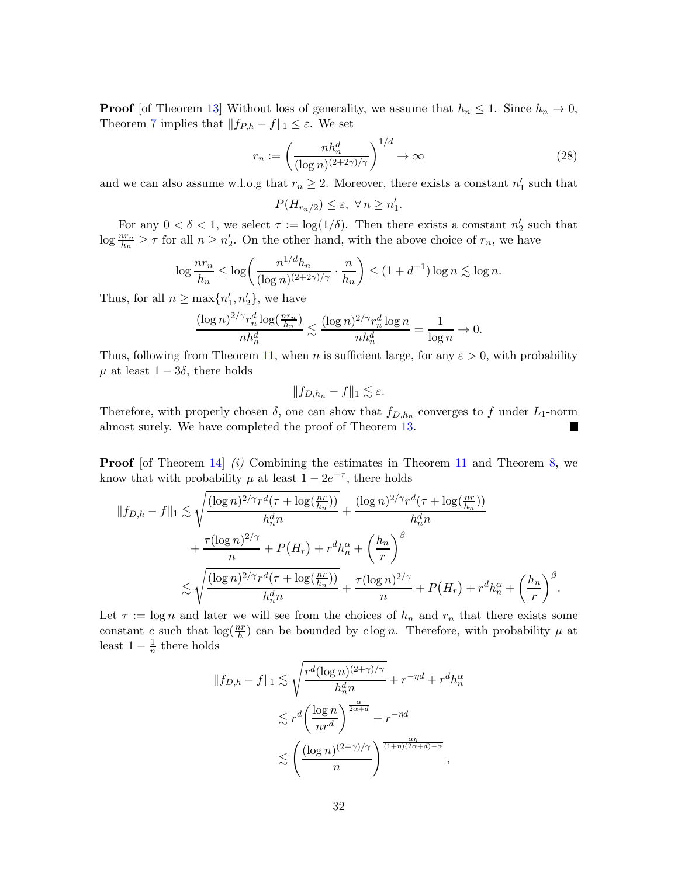**Proof** [of Theorem [13\]](#page-12-1) Without loss of generality, we assume that  $h_n \leq 1$ . Since  $h_n \to 0$ , Theorem [7](#page-9-2) implies that  $|| f_{P,h} - f ||_1 \leq \varepsilon$ . We set

$$
r_n := \left(\frac{nh_n^d}{(\log n)^{(2+2\gamma)/\gamma}}\right)^{1/d} \to \infty
$$
\n(28)

and we can also assume w.l.o.g that  $r_n \geq 2$ . Moreover, there exists a constant  $n'_1$  such that

$$
P(H_{r_n/2})\leq \varepsilon, \; \forall\, n\geq n_1'.
$$

For any  $0 < \delta < 1$ , we select  $\tau := \log(1/\delta)$ . Then there exists a constant  $n'_2$  such that  $\log \frac{n r_n}{h_n} \geq \tau$  for all  $n \geq n'_2$ . On the other hand, with the above choice of  $r_n$ , we have

$$
\log \frac{nr_n}{h_n} \le \log \left( \frac{n^{1/d} h_n}{(\log n)^{(2+2\gamma)/\gamma}} \cdot \frac{n}{h_n} \right) \le (1+d^{-1}) \log n \lesssim \log n.
$$

Thus, for all  $n \ge \max\{n'_1, n'_2\}$ , we have

$$
\frac{(\log n)^{2/\gamma} r_n^d \log(\frac{n r_n}{h_n})}{nh_n^d} \lesssim \frac{(\log n)^{2/\gamma} r_n^d \log n}{nh_n^d} = \frac{1}{\log n} \to 0.
$$

Thus, following from Theorem [11,](#page-11-0) when n is sufficient large, for any  $\varepsilon > 0$ , with probability  $\mu$  at least  $1 - 3\delta$ , there holds

$$
||f_{D,h_n} - f||_1 \lesssim \varepsilon.
$$

Therefore, with properly chosen  $\delta$ , one can show that  $f_{D,h_n}$  converges to f under  $L_1$ -norm almost surely. We have completed the proof of Theorem [13.](#page-12-1)

**Proof** [of Theorem [14\]](#page-13-0) (i) Combining the estimates in Theorem [11](#page-11-0) and Theorem [8,](#page-10-0) we know that with probability  $\mu$  at least  $1 - 2e^{-\tau}$ , there holds

$$
||f_{D,h} - f||_1 \lesssim \sqrt{\frac{(\log n)^{2/\gamma} r^d (\tau + \log(\frac{nr}{h_n}))}{h_n^d n}} + \frac{(\log n)^{2/\gamma} r^d (\tau + \log(\frac{nr}{h_n}))}{h_n^d n}
$$
  
+ 
$$
\frac{\tau (\log n)^{2/\gamma}}{n} + P(H_r) + r^d h_n^{\alpha} + \left(\frac{h_n}{r}\right)^{\beta}
$$
  

$$
\lesssim \sqrt{\frac{(\log n)^{2/\gamma} r^d (\tau + \log(\frac{nr}{h_n}))}{h_n^d n}} + \frac{\tau (\log n)^{2/\gamma}}{n} + P(H_r) + r^d h_n^{\alpha} + \left(\frac{h_n}{r}\right)^{\beta}
$$

Let  $\tau := \log n$  and later we will see from the choices of  $h_n$  and  $r_n$  that there exists some constant c such that  $\log(\frac{nr}{h})$  can be bounded by clog n. Therefore, with probability  $\mu$  at least  $1-\frac{1}{n}$  $\frac{1}{n}$  there holds

.

$$
||f_{D,h} - f||_1 \lesssim \sqrt{\frac{r^d (\log n)^{(2+\gamma)/\gamma}}{h_n^d n}} + r^{-\eta d} + r^d h_n^{\alpha}
$$
  

$$
\lesssim r^d \left(\frac{\log n}{n r^d}\right)^{\frac{\alpha}{2\alpha+d}} + r^{-\eta d}
$$
  

$$
\lesssim \left(\frac{(\log n)^{(2+\gamma)/\gamma}}{n}\right)^{\frac{\alpha\eta}{(1+\eta)(2\alpha+d)-\alpha}},
$$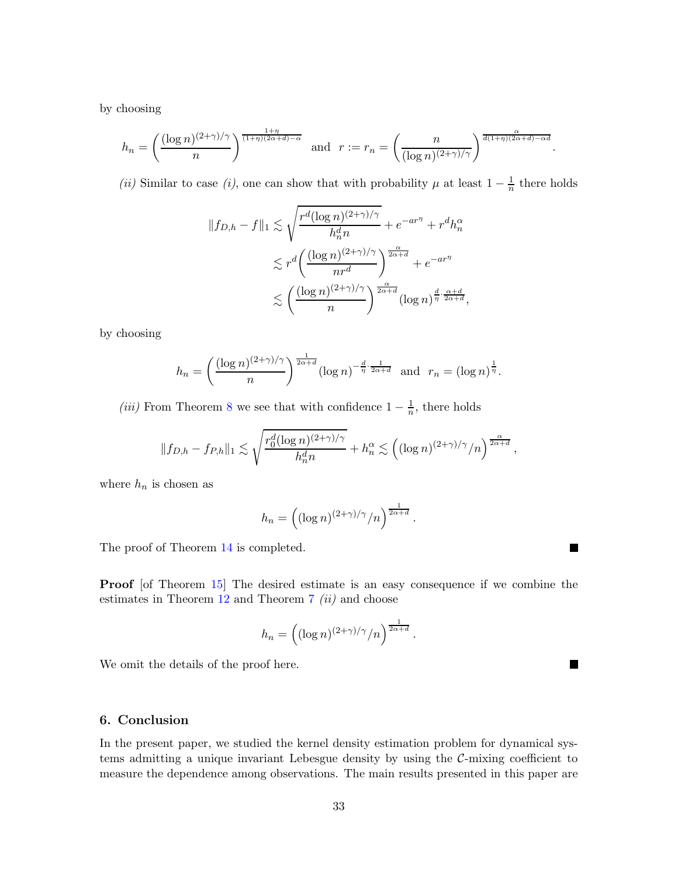by choosing

$$
h_n = \left(\frac{(\log n)^{(2+\gamma)/\gamma}}{n}\right)^{\frac{1+\eta}{(1+\eta)(2\alpha+d)-\alpha}} \text{ and } r := r_n = \left(\frac{n}{(\log n)^{(2+\gamma)/\gamma}}\right)^{\frac{\alpha}{d(1+\eta)(2\alpha+d)-\alpha d}}.
$$

(ii) Similar to case (i), one can show that with probability  $\mu$  at least  $1 - \frac{1}{n}$  $\frac{1}{n}$  there holds

$$
||f_{D,h} - f||_1 \lesssim \sqrt{\frac{r^d (\log n)^{(2+\gamma)/\gamma}}{h_n^d n}} + e^{-ar^{\eta}} + r^d h_n^{\alpha}
$$
  

$$
\lesssim r^d \left(\frac{(\log n)^{(2+\gamma)/\gamma}}{nr^d}\right)^{\frac{\alpha}{2\alpha+d}} + e^{-ar^{\eta}}
$$
  

$$
\lesssim \left(\frac{(\log n)^{(2+\gamma)/\gamma}}{n}\right)^{\frac{\alpha}{2\alpha+d}} (\log n)^{\frac{d}{\eta} \cdot \frac{\alpha+d}{2\alpha+d}},
$$

by choosing

$$
h_n = \left(\frac{(\log n)^{(2+\gamma)/\gamma}}{n}\right)^{\frac{1}{2\alpha+d}} (\log n)^{-\frac{d}{\eta} \cdot \frac{1}{2\alpha+d}} \text{ and } r_n = (\log n)^{\frac{1}{\eta}}.
$$

(iii) From Theorem [8](#page-10-0) we see that with confidence  $1 - \frac{1}{n}$  $\frac{1}{n}$ , there holds

$$
||f_{D,h} - f_{P,h}||_1 \lesssim \sqrt{\frac{r_0^d (\log n)^{(2+\gamma)/\gamma}}{h_n^d n}} + h_n^{\alpha} \lesssim \left( (\log n)^{(2+\gamma)/\gamma}/n \right)^{\frac{\alpha}{2\alpha+d}},
$$

where  $h_n$  is chosen as

$$
h_n = \left( (\log n)^{(2+\gamma)/\gamma}/n \right)^{\frac{1}{2\alpha+d}}.
$$

The proof of Theorem [14](#page-13-0) is completed.

Proof [of Theorem [15\]](#page-13-1) The desired estimate is an easy consequence if we combine the estimates in Theorem  $12$  and Theorem  $7$  (ii) and choose

$$
h_n = \left( (\log n)^{(2+\gamma)/\gamma}/n \right)^{\frac{1}{2\alpha+d}}.
$$

We omit the details of the proof here.

## <span id="page-32-0"></span>6. Conclusion

In the present paper, we studied the kernel density estimation problem for dynamical systems admitting a unique invariant Lebesgue density by using the  $C$ -mixing coefficient to measure the dependence among observations. The main results presented in this paper are

П

 $\blacksquare$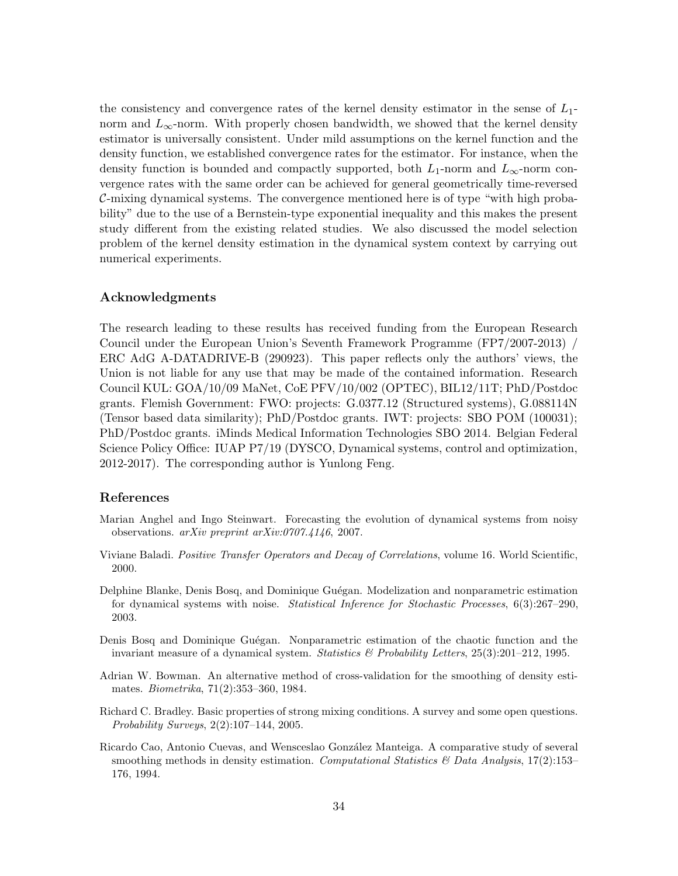the consistency and convergence rates of the kernel density estimator in the sense of  $L_1$ norm and  $L_{\infty}$ -norm. With properly chosen bandwidth, we showed that the kernel density estimator is universally consistent. Under mild assumptions on the kernel function and the density function, we established convergence rates for the estimator. For instance, when the density function is bounded and compactly supported, both  $L_1$ -norm and  $L_\infty$ -norm convergence rates with the same order can be achieved for general geometrically time-reversed C-mixing dynamical systems. The convergence mentioned here is of type "with high probability" due to the use of a Bernstein-type exponential inequality and this makes the present study different from the existing related studies. We also discussed the model selection problem of the kernel density estimation in the dynamical system context by carrying out numerical experiments.

## Acknowledgments

The research leading to these results has received funding from the European Research Council under the European Union's Seventh Framework Programme (FP7/2007-2013) / ERC AdG A-DATADRIVE-B (290923). This paper reflects only the authors' views, the Union is not liable for any use that may be made of the contained information. Research Council KUL: GOA/10/09 MaNet, CoE PFV/10/002 (OPTEC), BIL12/11T; PhD/Postdoc grants. Flemish Government: FWO: projects: G.0377.12 (Structured systems), G.088114N (Tensor based data similarity); PhD/Postdoc grants. IWT: projects: SBO POM (100031); PhD/Postdoc grants. iMinds Medical Information Technologies SBO 2014. Belgian Federal Science Policy Office: IUAP P7/19 (DYSCO, Dynamical systems, control and optimization, 2012-2017). The corresponding author is Yunlong Feng.

## References

- <span id="page-33-0"></span>Marian Anghel and Ingo Steinwart. Forecasting the evolution of dynamical systems from noisy observations. arXiv preprint arXiv:0707.4146, 2007.
- <span id="page-33-4"></span>Viviane Baladi. *Positive Transfer Operators and Decay of Correlations*, volume 16. World Scientific, 2000.
- <span id="page-33-6"></span>Delphine Blanke, Denis Bosq, and Dominique Guégan. Modelization and nonparametric estimation for dynamical systems with noise. Statistical Inference for Stochastic Processes, 6(3):267–290, 2003.
- <span id="page-33-5"></span>Denis Bosq and Dominique Guégan. Nonparametric estimation of the chaotic function and the invariant measure of a dynamical system. Statistics  $\mathscr B$  Probability Letters, 25(3):201–212, 1995.
- <span id="page-33-1"></span>Adrian W. Bowman. An alternative method of cross-validation for the smoothing of density estimates. Biometrika, 71(2):353–360, 1984.
- <span id="page-33-3"></span>Richard C. Bradley. Basic properties of strong mixing conditions. A survey and some open questions. Probability Surveys, 2(2):107–144, 2005.
- <span id="page-33-2"></span>Ricardo Cao, Antonio Cuevas, and Wensceslao González Manteiga. A comparative study of several smoothing methods in density estimation. Computational Statistics  $\mathcal{B}$  Data Analysis, 17(2):153– 176, 1994.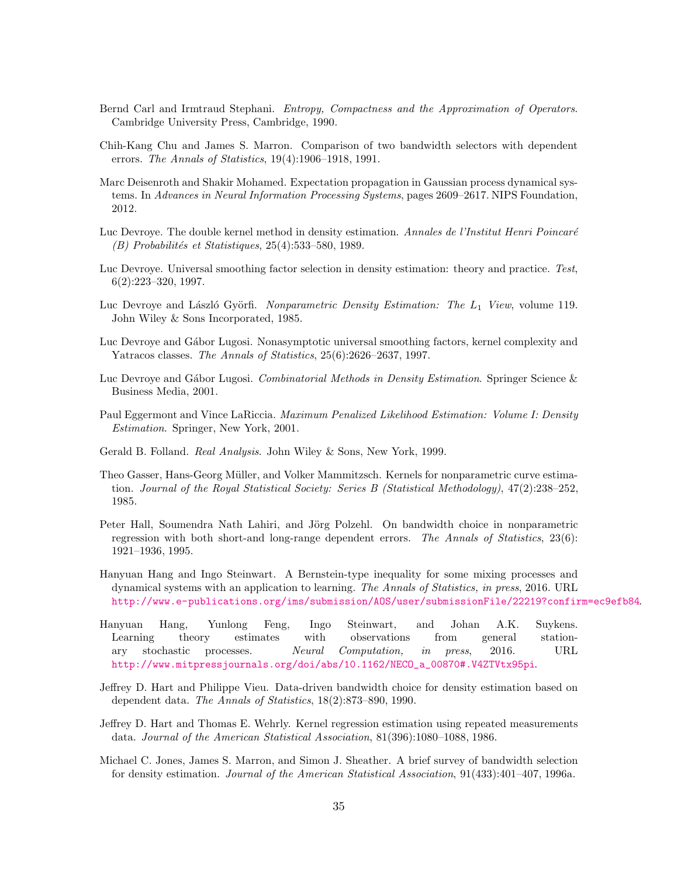- <span id="page-34-16"></span>Bernd Carl and Irmtraud Stephani. Entropy, Compactness and the Approximation of Operators. Cambridge University Press, Cambridge, 1990.
- <span id="page-34-12"></span>Chih-Kang Chu and James S. Marron. Comparison of two bandwidth selectors with dependent errors. The Annals of Statistics, 19(4):1906–1918, 1991.
- <span id="page-34-0"></span>Marc Deisenroth and Shakir Mohamed. Expectation propagation in Gaussian process dynamical systems. In Advances in Neural Information Processing Systems, pages 2609–2617. NIPS Foundation, 2012.
- <span id="page-34-2"></span>Luc Devroye. The double kernel method in density estimation. Annales de l'Institut Henri Poincaré  $(B)$  Probabilités et Statistiques, 25(4):533–580, 1989.
- <span id="page-34-5"></span>Luc Devroye. Universal smoothing factor selection in density estimation: theory and practice. Test, 6(2):223–320, 1997.
- <span id="page-34-10"></span>Luc Devroye and László Györfi. Nonparametric Density Estimation: The  $L_1$  View, volume 119. John Wiley & Sons Incorporated, 1985.
- <span id="page-34-14"></span>Luc Devroye and Gábor Lugosi. Nonasymptotic universal smoothing factors, kernel complexity and Yatracos classes. The Annals of Statistics, 25(6):2626–2637, 1997.
- <span id="page-34-11"></span>Luc Devroye and Gábor Lugosi. Combinatorial Methods in Density Estimation. Springer Science & Business Media, 2001.
- <span id="page-34-3"></span>Paul Eggermont and Vince LaRiccia. Maximum Penalized Likelihood Estimation: Volume I: Density Estimation. Springer, New York, 2001.
- <span id="page-34-9"></span>Gerald B. Folland. Real Analysis. John Wiley & Sons, New York, 1999.
- <span id="page-34-15"></span>Theo Gasser, Hans-Georg Müller, and Volker Mammitzsch. Kernels for nonparametric curve estimation. Journal of the Royal Statistical Society: Series B (Statistical Methodology), 47(2):238–252, 1985.
- <span id="page-34-7"></span>Peter Hall, Soumendra Nath Lahiri, and Jörg Polzehl. On bandwidth choice in nonparametric regression with both short-and long-range dependent errors. The Annals of Statistics, 23(6): 1921–1936, 1995.
- <span id="page-34-1"></span>Hanyuan Hang and Ingo Steinwart. A Bernstein-type inequality for some mixing processes and dynamical systems with an application to learning. The Annals of Statistics, in press, 2016. URL <http://www.e-publications.org/ims/submission/AOS/user/submissionFile/22219?confirm=ec9efb84>.
- <span id="page-34-8"></span>Hanyuan Hang, Yunlong Feng, Ingo Steinwart, and Johan A.K. Suykens. Learning theory estimates with observations from general stationary stochastic processes. Neural Computation, in press, 2016. URL [http://www.mitpressjournals.org/doi/abs/10.1162/NECO\\_a\\_00870#.V4ZTVtx95pi](http://www.mitpressjournals.org/doi/abs/10.1162/NECO_a_00870#.V4ZTVtx95pi).
- <span id="page-34-6"></span>Jeffrey D. Hart and Philippe Vieu. Data-driven bandwidth choice for density estimation based on dependent data. The Annals of Statistics, 18(2):873–890, 1990.
- <span id="page-34-13"></span>Jeffrey D. Hart and Thomas E. Wehrly. Kernel regression estimation using repeated measurements data. Journal of the American Statistical Association, 81(396):1080–1088, 1986.
- <span id="page-34-4"></span>Michael C. Jones, James S. Marron, and Simon J. Sheather. A brief survey of bandwidth selection for density estimation. Journal of the American Statistical Association, 91(433):401–407, 1996a.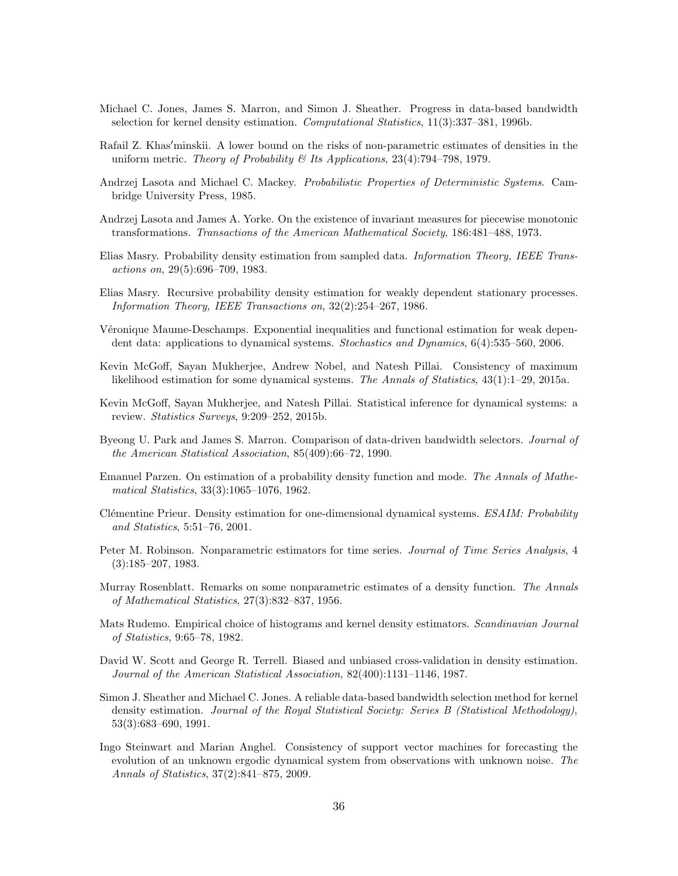- <span id="page-35-9"></span>Michael C. Jones, James S. Marron, and Simon J. Sheather. Progress in data-based bandwidth selection for kernel density estimation. Computational Statistics, 11(3):337–381, 1996b.
- <span id="page-35-16"></span>Rafail Z. Khas′minskii. A lower bound on the risks of non-parametric estimates of densities in the uniform metric. Theory of Probability & Its Applications,  $23(4)$ :794–798, 1979.
- <span id="page-35-15"></span>Andrzej Lasota and Michael C. Mackey. Probabilistic Properties of Deterministic Systems. Cambridge University Press, 1985.
- <span id="page-35-14"></span>Andrzej Lasota and James A. Yorke. On the existence of invariant measures for piecewise monotonic transformations. Transactions of the American Mathematical Society, 186:481–488, 1973.
- <span id="page-35-10"></span>Elias Masry. Probability density estimation from sampled data. Information Theory, IEEE Transactions on, 29(5):696–709, 1983.
- <span id="page-35-11"></span>Elias Masry. Recursive probability density estimation for weakly dependent stationary processes. Information Theory, IEEE Transactions on, 32(2):254–267, 1986.
- <span id="page-35-13"></span>Véronique Maume-Deschamps. Exponential inequalities and functional estimation for weak dependent data: applications to dynamical systems. Stochastics and Dynamics, 6(4):535–560, 2006.
- <span id="page-35-1"></span>Kevin McGoff, Sayan Mukherjee, Andrew Nobel, and Natesh Pillai. Consistency of maximum likelihood estimation for some dynamical systems. The Annals of Statistics, 43(1):1–29, 2015a.
- <span id="page-35-2"></span>Kevin McGoff, Sayan Mukherjee, and Natesh Pillai. Statistical inference for dynamical systems: a review. Statistics Surveys, 9:209–252, 2015b.
- <span id="page-35-7"></span>Byeong U. Park and James S. Marron. Comparison of data-driven bandwidth selectors. Journal of the American Statistical Association, 85(409):66–72, 1990.
- <span id="page-35-3"></span>Emanuel Parzen. On estimation of a probability density function and mode. The Annals of Mathematical Statistics, 33(3):1065–1076, 1962.
- <span id="page-35-17"></span>Clémentine Prieur. Density estimation for one-dimensional dynamical systems. ESAIM: Probability and Statistics, 5:51–76, 2001.
- <span id="page-35-12"></span>Peter M. Robinson. Nonparametric estimators for time series. Journal of Time Series Analysis, 4 (3):185–207, 1983.
- <span id="page-35-4"></span>Murray Rosenblatt. Remarks on some nonparametric estimates of a density function. The Annals of Mathematical Statistics, 27(3):832–837, 1956.
- <span id="page-35-5"></span>Mats Rudemo. Empirical choice of histograms and kernel density estimators. Scandinavian Journal of Statistics, 9:65–78, 1982.
- <span id="page-35-6"></span>David W. Scott and George R. Terrell. Biased and unbiased cross-validation in density estimation. Journal of the American Statistical Association, 82(400):1131–1146, 1987.
- <span id="page-35-8"></span>Simon J. Sheather and Michael C. Jones. A reliable data-based bandwidth selection method for kernel density estimation. Journal of the Royal Statistical Society: Series B (Statistical Methodology), 53(3):683–690, 1991.
- <span id="page-35-0"></span>Ingo Steinwart and Marian Anghel. Consistency of support vector machines for forecasting the evolution of an unknown ergodic dynamical system from observations with unknown noise. The Annals of Statistics, 37(2):841–875, 2009.